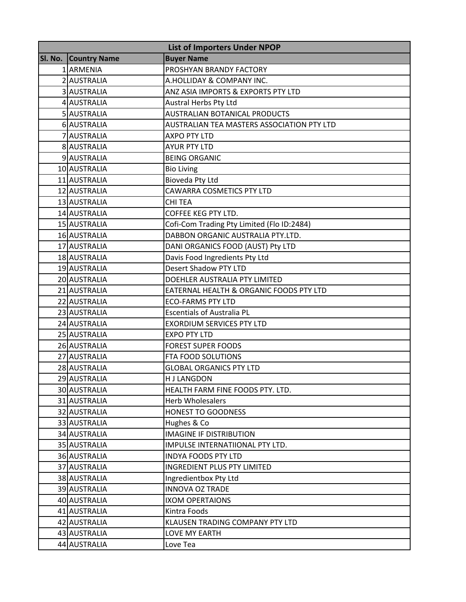| <b>List of Importers Under NPOP</b> |                     |                                            |
|-------------------------------------|---------------------|--------------------------------------------|
| Sl. No.                             | <b>Country Name</b> | <b>Buyer Name</b>                          |
|                                     | 1 ARMENIA           | PROSHYAN BRANDY FACTORY                    |
|                                     | 2 AUSTRALIA         | A.HOLLIDAY & COMPANY INC.                  |
|                                     | 3 AUSTRALIA         | ANZ ASIA IMPORTS & EXPORTS PTY LTD         |
|                                     | 4 AUSTRALIA         | Austral Herbs Pty Ltd                      |
|                                     | 5 AUSTRALIA         | <b>AUSTRALIAN BOTANICAL PRODUCTS</b>       |
|                                     | 6 AUSTRALIA         | AUSTRALIAN TEA MASTERS ASSOCIATION PTY LTD |
|                                     | 7 AUSTRALIA         | <b>AXPO PTY LTD</b>                        |
|                                     | 8 AUSTRALIA         | <b>AYUR PTY LTD</b>                        |
|                                     | 9 AUSTRALIA         | <b>BEING ORGANIC</b>                       |
|                                     | 10 AUSTRALIA        | <b>Bio Living</b>                          |
|                                     | 11 AUSTRALIA        | Bioveda Pty Ltd                            |
|                                     | 12 AUSTRALIA        | CAWARRA COSMETICS PTY LTD                  |
|                                     | 13 AUSTRALIA        | CHI TEA                                    |
|                                     | 14 AUSTRALIA        | COFFEE KEG PTY LTD.                        |
|                                     | 15 AUSTRALIA        | Cofi-Com Trading Pty Limited (Flo ID:2484) |
|                                     | 16 AUSTRALIA        | DABBON ORGANIC AUSTRALIA PTY.LTD.          |
|                                     | 17 AUSTRALIA        | DANI ORGANICS FOOD (AUST) Pty LTD          |
|                                     | 18 AUSTRALIA        | Davis Food Ingredients Pty Ltd             |
|                                     | 19 AUSTRALIA        | <b>Desert Shadow PTY LTD</b>               |
|                                     | 20 AUSTRALIA        | DOEHLER AUSTRALIA PTY LIMITED              |
|                                     | 21 AUSTRALIA        | EATERNAL HEALTH & ORGANIC FOODS PTY LTD    |
|                                     | 22 AUSTRALIA        | <b>ECO-FARMS PTY LTD</b>                   |
|                                     | 23 AUSTRALIA        | <b>Escentials of Australia PL</b>          |
|                                     | 24 AUSTRALIA        | <b>EXORDIUM SERVICES PTY LTD</b>           |
|                                     | 25 AUSTRALIA        | <b>EXPO PTY LTD</b>                        |
|                                     | 26 AUSTRALIA        | <b>FOREST SUPER FOODS</b>                  |
|                                     | 27 AUSTRALIA        | FTA FOOD SOLUTIONS                         |
|                                     | 28 AUSTRALIA        | <b>GLOBAL ORGANICS PTY LTD</b>             |
|                                     | 29 AUSTRALIA        | <b>HJ LANGDON</b>                          |
|                                     | 30 AUSTRALIA        | HEALTH FARM FINE FOODS PTY. LTD.           |
|                                     | 31 AUSTRALIA        | <b>Herb Wholesalers</b>                    |
|                                     | 32 AUSTRALIA        | HONEST TO GOODNESS                         |
|                                     | 33 AUSTRALIA        | Hughes & Co                                |
|                                     | 34 AUSTRALIA        | <b>IMAGINE IF DISTRIBUTION</b>             |
|                                     | 35 AUSTRALIA        | IMPULSE INTERNATIIONAL PTY LTD.            |
|                                     | 36 AUSTRALIA        | <b>INDYA FOODS PTY LTD</b>                 |
|                                     | 37 AUSTRALIA        | INGREDIENT PLUS PTY LIMITED                |
|                                     | 38 AUSTRALIA        | Ingredientbox Pty Ltd                      |
|                                     | 39 AUSTRALIA        | <b>INNOVA OZ TRADE</b>                     |
|                                     | 40 AUSTRALIA        | <b>IXOM OPERTAIONS</b>                     |
|                                     | 41 AUSTRALIA        | Kintra Foods                               |
|                                     | 42 AUSTRALIA        | KLAUSEN TRADING COMPANY PTY LTD            |
|                                     | 43 AUSTRALIA        | LOVE MY EARTH                              |
|                                     | 44 AUSTRALIA        | Love Tea                                   |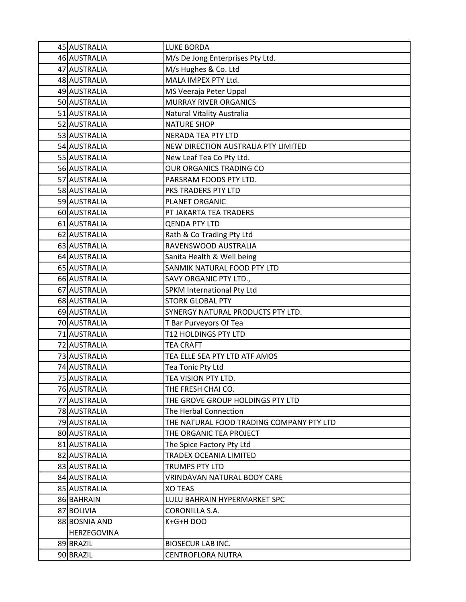| 45 AUSTRALIA       | <b>LUKE BORDA</b>                        |
|--------------------|------------------------------------------|
| 46 AUSTRALIA       | M/s De Jong Enterprises Pty Ltd.         |
| 47 AUSTRALIA       | M/s Hughes & Co. Ltd                     |
| 48 AUSTRALIA       | MALA IMPEX PTY Ltd.                      |
| 49 AUSTRALIA       | MS Veeraja Peter Uppal                   |
| 50 AUSTRALIA       | <b>MURRAY RIVER ORGANICS</b>             |
| 51 AUSTRALIA       | Natural Vitality Australia               |
| 52 AUSTRALIA       | <b>NATURE SHOP</b>                       |
| 53 AUSTRALIA       | <b>NERADA TEA PTY LTD</b>                |
| 54 AUSTRALIA       | NEW DIRECTION AUSTRALIA PTY LIMITED      |
| 55 AUSTRALIA       | New Leaf Tea Co Pty Ltd.                 |
| 56 AUSTRALIA       | OUR ORGANICS TRADING CO                  |
| 57 AUSTRALIA       | PARSRAM FOODS PTY LTD.                   |
| 58 AUSTRALIA       | PKS TRADERS PTY LTD                      |
| 59 AUSTRALIA       | PLANET ORGANIC                           |
| 60 AUSTRALIA       | PT JAKARTA TEA TRADERS                   |
| 61 AUSTRALIA       | <b>QENDA PTY LTD</b>                     |
| 62 AUSTRALIA       | Rath & Co Trading Pty Ltd                |
| 63 AUSTRALIA       | RAVENSWOOD AUSTRALIA                     |
| 64 AUSTRALIA       | Sanita Health & Well being               |
| 65 AUSTRALIA       | SANMIK NATURAL FOOD PTY LTD              |
| 66 AUSTRALIA       | SAVY ORGANIC PTY LTD.,                   |
| 67 AUSTRALIA       | SPKM International Pty Ltd               |
| 68 AUSTRALIA       | <b>STORK GLOBAL PTY</b>                  |
| 69 AUSTRALIA       | SYNERGY NATURAL PRODUCTS PTY LTD.        |
| 70 AUSTRALIA       | T Bar Purveyors Of Tea                   |
| 71 AUSTRALIA       | T12 HOLDINGS PTY LTD                     |
| 72 AUSTRALIA       | <b>TEA CRAFT</b>                         |
| 73 AUSTRALIA       | TEA ELLE SEA PTY LTD ATF AMOS            |
| 74 AUSTRALIA       | Tea Tonic Pty Ltd                        |
| 75 AUSTRALIA       | TEA VISION PTY LTD.                      |
| 76 AUSTRALIA       | THE FRESH CHAI CO.                       |
| 77 AUSTRALIA       | THE GROVE GROUP HOLDINGS PTY LTD         |
| 78 AUSTRALIA       | The Herbal Connection                    |
| 79 AUSTRALIA       | THE NATURAL FOOD TRADING COMPANY PTY LTD |
| 80 AUSTRALIA       | THE ORGANIC TEA PROJECT                  |
| 81 AUSTRALIA       | The Spice Factory Pty Ltd                |
| 82 AUSTRALIA       | TRADEX OCEANIA LIMITED                   |
| 83 AUSTRALIA       | TRUMPS PTY LTD                           |
| 84 AUSTRALIA       | VRINDAVAN NATURAL BODY CARE              |
| 85 AUSTRALIA       | <b>XO TEAS</b>                           |
| 86 BAHRAIN         | LULU BAHRAIN HYPERMARKET SPC             |
| 87 BOLIVIA         | CORONILLA S.A.                           |
| 88 BOSNIA AND      | K+G+H DOO                                |
| <b>HERZEGOVINA</b> |                                          |
| 89 BRAZIL          | <b>BIOSECUR LAB INC.</b>                 |
| 90 BRAZIL          | <b>CENTROFLORA NUTRA</b>                 |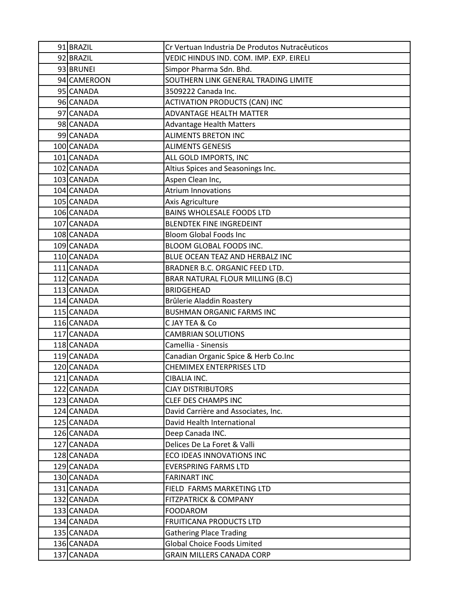| 91 BRAZIL   | Cr Vertuan Industria De Produtos Nutracêuticos |
|-------------|------------------------------------------------|
| 92 BRAZIL   | VEDIC HINDUS IND. COM. IMP. EXP. EIRELI        |
| 93 BRUNEI   | Simpor Pharma Sdn. Bhd.                        |
| 94 CAMEROON | SOUTHERN LINK GENERAL TRADING LIMITE           |
| 95 CANADA   | 3509222 Canada Inc.                            |
| 96 CANADA   | <b>ACTIVATION PRODUCTS (CAN) INC</b>           |
| 97 CANADA   | <b>ADVANTAGE HEALTH MATTER</b>                 |
| 98 CANADA   | <b>Advantage Health Matters</b>                |
| 99 CANADA   | <b>ALIMENTS BRETON INC</b>                     |
| 100 CANADA  | <b>ALIMENTS GENESIS</b>                        |
| 101 CANADA  | ALL GOLD IMPORTS, INC                          |
| 102 CANADA  | Altius Spices and Seasonings Inc.              |
| 103 CANADA  | Aspen Clean Inc,                               |
| 104 CANADA  | <b>Atrium Innovations</b>                      |
| 105 CANADA  | Axis Agriculture                               |
| 106 CANADA  | <b>BAINS WHOLESALE FOODS LTD</b>               |
| 107 CANADA  | <b>BLENDTEK FINE INGREDEINT</b>                |
| 108 CANADA  | <b>Bloom Global Foods Inc</b>                  |
| 109 CANADA  | BLOOM GLOBAL FOODS INC.                        |
| 110 CANADA  | BLUE OCEAN TEAZ AND HERBALZ INC                |
| 111 CANADA  | BRADNER B.C. ORGANIC FEED LTD.                 |
| 112 CANADA  | BRAR NATURAL FLOUR MILLING (B.C)               |
| 113 CANADA  | <b>BRIDGEHEAD</b>                              |
| 114 CANADA  | Brûlerie Aladdin Roastery                      |
| 115 CANADA  | <b>BUSHMAN ORGANIC FARMS INC</b>               |
| 116 CANADA  | C JAY TEA & Co                                 |
| 117 CANADA  | <b>CAMBRIAN SOLUTIONS</b>                      |
| 118 CANADA  | Camellia - Sinensis                            |
| 119 CANADA  | Canadian Organic Spice & Herb Co.Inc           |
| 120 CANADA  | <b>CHEMIMEX ENTERPRISES LTD</b>                |
| 121 CANADA  | CIBALIA INC.                                   |
| 122 CANADA  | <b>CJAY DISTRIBUTORS</b>                       |
| 123 CANADA  | <b>CLEF DES CHAMPS INC</b>                     |
| 124 CANADA  | David Carrière and Associates, Inc.            |
| 125 CANADA  | David Health International                     |
| 126 CANADA  | Deep Canada INC.                               |
| 127 CANADA  | Delices De La Foret & Valli                    |
| 128 CANADA  | ECO IDEAS INNOVATIONS INC                      |
| 129 CANADA  | <b>EVERSPRING FARMS LTD</b>                    |
| 130 CANADA  | <b>FARINART INC</b>                            |
| 131 CANADA  | FIELD FARMS MARKETING LTD                      |
| 132 CANADA  | <b>FITZPATRICK &amp; COMPANY</b>               |
| 133 CANADA  | <b>FOODAROM</b>                                |
| 134 CANADA  | FRUITICANA PRODUCTS LTD                        |
| 135 CANADA  | <b>Gathering Place Trading</b>                 |
| 136 CANADA  | <b>Global Choice Foods Limited</b>             |
| 137 CANADA  | <b>GRAIN MILLERS CANADA CORP</b>               |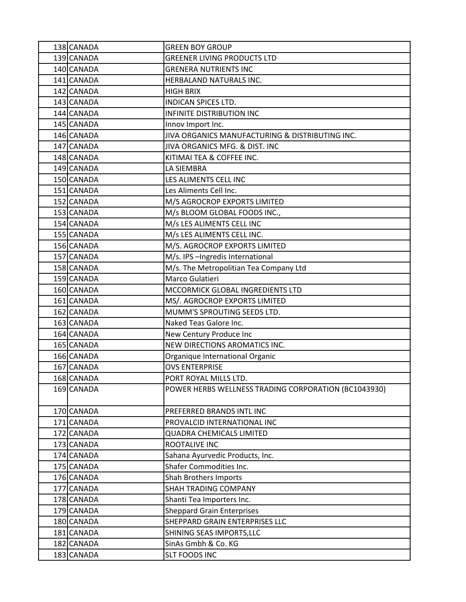| 138 CANADA | <b>GREEN BOY GROUP</b>                               |
|------------|------------------------------------------------------|
| 139 CANADA | <b>GREENER LIVING PRODUCTS LTD</b>                   |
| 140 CANADA | <b>GRENERA NUTRIENTS INC</b>                         |
| 141 CANADA | HERBALAND NATURALS INC.                              |
| 142 CANADA | <b>HIGH BRIX</b>                                     |
| 143 CANADA | <b>INDICAN SPICES LTD.</b>                           |
| 144 CANADA | <b>INFINITE DISTRIBUTION INC</b>                     |
| 145 CANADA | Innov Import Inc.                                    |
| 146 CANADA | JIVA ORGANICS MANUFACTURING & DISTRIBUTING INC.      |
| 147 CANADA | JIVA ORGANICS MFG. & DIST. INC                       |
| 148 CANADA | KITIMAI TEA & COFFEE INC.                            |
| 149 CANADA | LA SIEMBRA                                           |
| 150 CANADA | LES ALIMENTS CELL INC                                |
| 151 CANADA | Les Aliments Cell Inc.                               |
| 152 CANADA | M/S AGROCROP EXPORTS LIMITED                         |
| 153 CANADA | M/s BLOOM GLOBAL FOODS INC.,                         |
| 154 CANADA | M/s LES ALIMENTS CELL INC                            |
| 155 CANADA | M/s LES ALIMENTS CELL INC.                           |
| 156 CANADA | M/S. AGROCROP EXPORTS LIMITED                        |
| 157 CANADA | M/s. IPS-Ingredis International                      |
| 158 CANADA | M/s. The Metropolitian Tea Company Ltd               |
| 159 CANADA | Marco Gulatieri                                      |
| 160 CANADA | MCCORMICK GLOBAL INGREDIENTS LTD                     |
| 161 CANADA | MS/. AGROCROP EXPORTS LIMITED                        |
| 162 CANADA | MUMM'S SPROUTING SEEDS LTD.                          |
| 163 CANADA | Naked Teas Galore Inc.                               |
| 164 CANADA | New Century Produce Inc                              |
| 165 CANADA | NEW DIRECTIONS AROMATICS INC.                        |
| 166 CANADA | Organique International Organic                      |
| 167 CANADA | <b>OVS ENTERPRISE</b>                                |
| 168 CANADA | PORT ROYAL MILLS LTD.                                |
| 169 CANADA | POWER HERBS WELLNESS TRADING CORPORATION (BC1043930) |
| 170 CANADA | PREFERRED BRANDS INTL INC                            |
| 171 CANADA | PROVALCID INTERNATIONAL INC                          |
| 172 CANADA | <b>QUADRA CHEMICALS LIMITED</b>                      |
| 173 CANADA | ROOTALIVE INC                                        |
| 174 CANADA | Sahana Ayurvedic Products, Inc.                      |
| 175 CANADA | <b>Shafer Commodities Inc.</b>                       |
| 176 CANADA | Shah Brothers Imports                                |
| 177 CANADA | SHAH TRADING COMPANY                                 |
| 178 CANADA | Shanti Tea Importers Inc.                            |
| 179 CANADA | <b>Sheppard Grain Enterprises</b>                    |
| 180 CANADA | SHEPPARD GRAIN ENTERPRISES LLC                       |
| 181 CANADA | SHINING SEAS IMPORTS, LLC                            |
| 182 CANADA | SinAs Gmbh & Co. KG                                  |
| 183 CANADA | <b>SLT FOODS INC</b>                                 |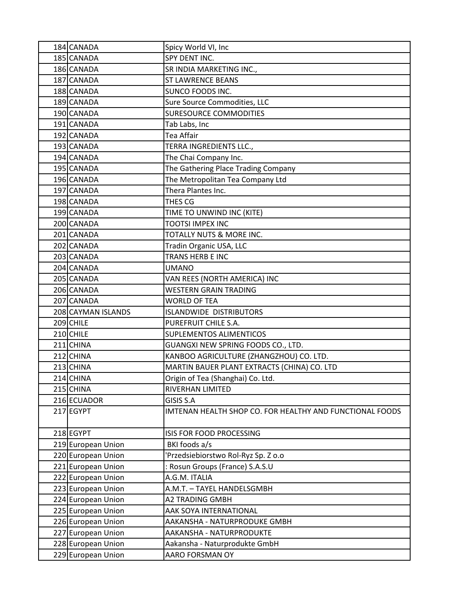| 184 CANADA         | Spicy World VI, Inc                                      |
|--------------------|----------------------------------------------------------|
| 185 CANADA         | SPY DENT INC.                                            |
| 186 CANADA         | SR INDIA MARKETING INC.,                                 |
| 187 CANADA         | <b>ST LAWRENCE BEANS</b>                                 |
| 188 CANADA         | SUNCO FOODS INC.                                         |
| 189 CANADA         | Sure Source Commodities, LLC                             |
| 190 CANADA         | <b>SURESOURCE COMMODITIES</b>                            |
| 191 CANADA         | Tab Labs, Inc                                            |
| 192 CANADA         | Tea Affair                                               |
| 193 CANADA         | TERRA INGREDIENTS LLC.,                                  |
| 194 CANADA         | The Chai Company Inc.                                    |
| 195 CANADA         | The Gathering Place Trading Company                      |
| 196 CANADA         | The Metropolitan Tea Company Ltd                         |
| 197 CANADA         | Thera Plantes Inc.                                       |
| 198 CANADA         | THES CG                                                  |
| 199 CANADA         | TIME TO UNWIND INC (KITE)                                |
| 200 CANADA         | <b>TOOTSI IMPEX INC</b>                                  |
| 201 CANADA         | TOTALLY NUTS & MORE INC.                                 |
| 202 CANADA         | Tradin Organic USA, LLC                                  |
| 203 CANADA         | TRANS HERB E INC                                         |
| 204 CANADA         | <b>UMANO</b>                                             |
| 205 CANADA         | VAN REES (NORTH AMERICA) INC                             |
| 206 CANADA         | <b>WESTERN GRAIN TRADING</b>                             |
| 207 CANADA         | <b>WORLD OF TEA</b>                                      |
| 208 CAYMAN ISLANDS | <b>ISLANDWIDE DISTRIBUTORS</b>                           |
| 209 CHILE          | PUREFRUIT CHILE S.A.                                     |
| 210 CHILE          | SUPLEMENTOS ALIMENTICOS                                  |
| 211 CHINA          | GUANGXI NEW SPRING FOODS CO., LTD.                       |
| 212 CHINA          | KANBOO AGRICULTURE (ZHANGZHOU) CO. LTD.                  |
| 213 CHINA          | MARTIN BAUER PLANT EXTRACTS (CHINA) CO. LTD              |
| 214 CHINA          | Origin of Tea (Shanghai) Co. Ltd.                        |
| 215 CHINA          | RIVERHAN LIMITED                                         |
| 216 ECUADOR        | GISIS S.A                                                |
| 217 EGYPT          | IMTENAN HEALTH SHOP CO. FOR HEALTHY AND FUNCTIONAL FOODS |
| 218 EGYPT          | ISIS FOR FOOD PROCESSING                                 |
| 219 European Union | BKI foods a/s                                            |
| 220 European Union | Przedsiebiorstwo Rol-Ryz Sp. Z o.o                       |
| 221 European Union | : Rosun Groups (France) S.A.S.U                          |
| 222 European Union | A.G.M. ITALIA                                            |
| 223 European Union | A.M.T. - TAYEL HANDELSGMBH                               |
| 224 European Union | A2 TRADING GMBH                                          |
| 225 European Union | AAK SOYA INTERNATIONAL                                   |
| 226 European Union | AAKANSHA - NATURPRODUKE GMBH                             |
| 227 European Union | AAKANSHA - NATURPRODUKTE                                 |
| 228 European Union | Aakansha - Naturprodukte GmbH                            |
| 229 European Union | AARO FORSMAN OY                                          |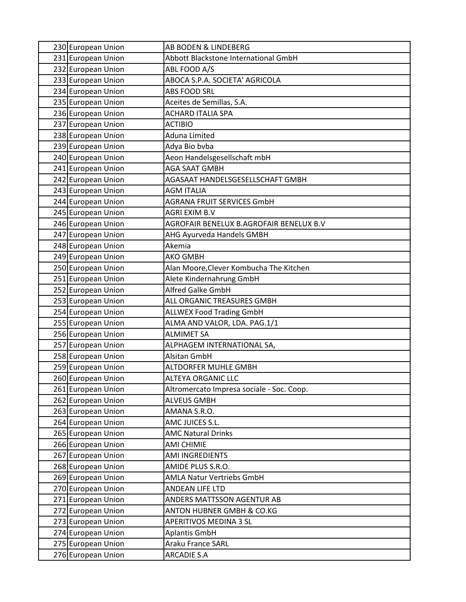| 230 European Union                       | AB BODEN & LINDEBERG                                            |
|------------------------------------------|-----------------------------------------------------------------|
| 231 European Union                       | Abbott Blackstone International GmbH                            |
| 232 European Union                       | ABL FOOD A/S                                                    |
| 233 European Union                       | ABOCA S.P.A. SOCIETA' AGRICOLA                                  |
| 234 European Union                       | <b>ABS FOOD SRL</b>                                             |
| 235 European Union                       | Aceites de Semillas, S.A.                                       |
| 236 European Union                       | <b>ACHARD ITALIA SPA</b>                                        |
| 237 European Union                       | <b>ACTIBIO</b>                                                  |
| 238 European Union                       | Aduna Limited                                                   |
| 239 European Union                       | Adya Bio bvba                                                   |
| 240 European Union                       | Aeon Handelsgesellschaft mbH                                    |
| 241 European Union                       | <b>AGA SAAT GMBH</b>                                            |
| 242 European Union                       | AGASAAT HANDELSGESELLSCHAFT GMBH                                |
| 243 European Union                       | <b>AGM ITALIA</b>                                               |
| 244 European Union                       | <b>AGRANA FRUIT SERVICES GmbH</b>                               |
| 245 European Union                       | <b>AGRI EXIM B.V</b>                                            |
| 246 European Union                       | AGROFAIR BENELUX B.AGROFAIR BENELUX B.V                         |
| 247 European Union                       | AHG Ayurveda Handels GMBH                                       |
| 248 European Union                       | Akemia                                                          |
| 249 European Union                       | <b>AKO GMBH</b>                                                 |
| 250 European Union                       | Alan Moore, Clever Kombucha The Kitchen                         |
| 251 European Union                       | Alete Kindernahrung GmbH                                        |
| 252 European Union                       | Alfred Galke GmbH                                               |
| 253 European Union                       | ALL ORGANIC TREASURES GMBH                                      |
| 254 European Union                       | <b>ALLWEX Food Trading GmbH</b>                                 |
| 255 European Union                       | ALMA AND VALOR, LDA. PAG.1/1                                    |
| 256 European Union                       | <b>ALMIMET SA</b>                                               |
| 257 European Union                       | ALPHAGEM INTERNATIONAL SA,                                      |
| 258 European Union                       | Alsitan GmbH                                                    |
| 259 European Union                       | ALTDORFER MUHLE GMBH                                            |
| 260 European Union                       | <b>ALTEYA ORGANIC LLC</b>                                       |
| 261 European Union<br>262 European Union | Altromercato Impresa sociale - Soc. Coop.<br><b>ALVEUS GMBH</b> |
| 263 European Union                       | AMANA S.R.O.                                                    |
| 264 European Union                       | AMC JUICES S.L.                                                 |
| 265 European Union                       | <b>AMC Natural Drinks</b>                                       |
| 266 European Union                       | AMI CHIMIE                                                      |
| 267 European Union                       | <b>AMI INGREDIENTS</b>                                          |
| 268 European Union                       | AMIDE PLUS S.R.O.                                               |
| 269 European Union                       | AMLA Natur Vertriebs GmbH                                       |
| 270 European Union                       | ANDEAN LIFE LTD                                                 |
| 271 European Union                       | ANDERS MATTSSON AGENTUR AB                                      |
| 272 European Union                       | ANTON HUBNER GMBH & CO.KG                                       |
| 273 European Union                       | APERITIVOS MEDINA 3 SL                                          |
| 274 European Union                       | <b>Aplantis GmbH</b>                                            |
| 275 European Union                       | Araku France SARL                                               |
| 276 European Union                       | <b>ARCADIE S.A</b>                                              |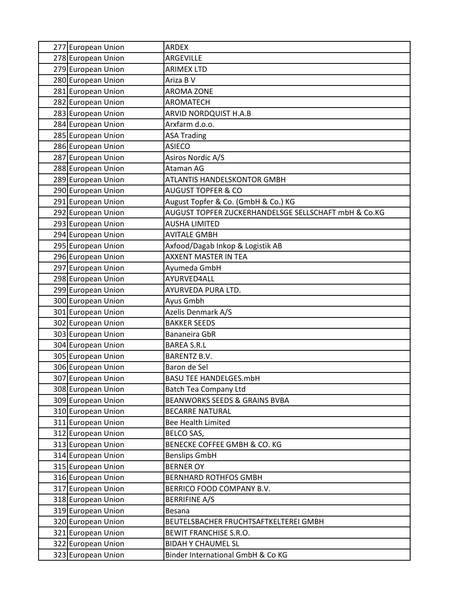| 277 European Union | <b>ARDEX</b>                                         |
|--------------------|------------------------------------------------------|
| 278 European Union | ARGEVILLE                                            |
| 279 European Union | <b>ARIMEX LTD</b>                                    |
| 280 European Union | Ariza B V                                            |
| 281 European Union | <b>AROMA ZONE</b>                                    |
| 282 European Union | AROMATECH                                            |
| 283 European Union | ARVID NORDQUIST H.A.B                                |
| 284 European Union | Arxfarm d.o.o.                                       |
| 285 European Union | <b>ASA Trading</b>                                   |
| 286 European Union | <b>ASIECO</b>                                        |
| 287 European Union | Asiros Nordic A/S                                    |
| 288 European Union | Ataman AG                                            |
| 289 European Union | ATLANTIS HANDELSKONTOR GMBH                          |
| 290 European Union | <b>AUGUST TOPFER &amp; CO</b>                        |
| 291 European Union | August Topfer & Co. (GmbH & Co.) KG                  |
| 292 European Union | AUGUST TOPFER ZUCKERHANDELSGE SELLSCHAFT mbH & Co.KG |
| 293 European Union | <b>AUSHA LIMITED</b>                                 |
| 294 European Union | <b>AVITALE GMBH</b>                                  |
| 295 European Union | Axfood/Dagab Inkop & Logistik AB                     |
| 296 European Union | <b>AXXENT MASTER IN TEA</b>                          |
| 297 European Union | Ayumeda GmbH                                         |
| 298 European Union | AYURVED4ALL                                          |
| 299 European Union | AYURVEDA PURA LTD.                                   |
| 300 European Union | Ayus Gmbh                                            |
| 301 European Union | Azelis Denmark A/S                                   |
| 302 European Union | <b>BAKKER SEEDS</b>                                  |
| 303 European Union | Bananeira GbR                                        |
| 304 European Union | <b>BAREA S.R.L</b>                                   |
| 305 European Union | <b>BARENTZ B.V.</b>                                  |
| 306 European Union | Baron de Sel                                         |
| 307 European Union | <b>BASU TEE HANDELGES.mbH</b>                        |
| 308 European Union | <b>Batch Tea Company Ltd</b>                         |
| 309 European Union | <b>BEANWORKS SEEDS &amp; GRAINS BVBA</b>             |
| 310 European Union | <b>BECARRE NATURAL</b>                               |
| 311 European Union | Bee Health Limited                                   |
| 312 European Union | BELCO SAS,                                           |
| 313 European Union | BENECKE COFFEE GMBH & CO. KG                         |
| 314 European Union | <b>Benslips GmbH</b>                                 |
| 315 European Union | <b>BERNER OY</b>                                     |
| 316 European Union | <b>BERNHARD ROTHFOS GMBH</b>                         |
| 317 European Union | BERRICO FOOD COMPANY B.V.                            |
| 318 European Union | <b>BERRIFINE A/S</b>                                 |
| 319 European Union | <b>Besana</b>                                        |
| 320 European Union | BEUTELSBACHER FRUCHTSAFTKELTEREI GMBH                |
| 321 European Union | BEWIT FRANCHISE S.R.O.                               |
| 322 European Union | <b>BIDAH Y CHAUMEL SL</b>                            |
| 323 European Union | Binder International GmbH & Co KG                    |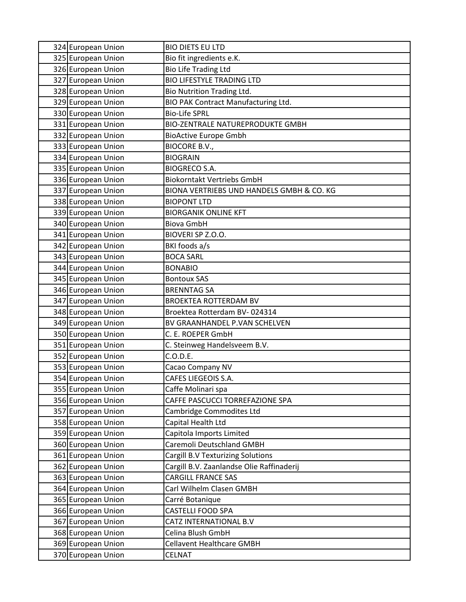| 324 European Union | <b>BIO DIETS EU LTD</b>                   |
|--------------------|-------------------------------------------|
| 325 European Union | Bio fit ingredients e.K.                  |
| 326 European Union | <b>Bio Life Trading Ltd</b>               |
| 327 European Union | <b>BIO LIFESTYLE TRADING LTD</b>          |
| 328 European Union | <b>Bio Nutrition Trading Ltd.</b>         |
| 329 European Union | BIO PAK Contract Manufacturing Ltd.       |
| 330 European Union | <b>Bio-Life SPRL</b>                      |
| 331 European Union | <b>BIO-ZENTRALE NATUREPRODUKTE GMBH</b>   |
| 332 European Union | <b>BioActive Europe Gmbh</b>              |
| 333 European Union | <b>BIOCORE B.V.,</b>                      |
| 334 European Union | <b>BIOGRAIN</b>                           |
| 335 European Union | <b>BIOGRECO S.A.</b>                      |
| 336 European Union | <b>Biokorntakt Vertriebs GmbH</b>         |
| 337 European Union | BIONA VERTRIEBS UND HANDELS GMBH & CO. KG |
| 338 European Union | <b>BIOPONT LTD</b>                        |
| 339 European Union | <b>BIORGANIK ONLINE KFT</b>               |
| 340 European Union | <b>Biova GmbH</b>                         |
| 341 European Union | BIOVERI SP Z.O.O.                         |
| 342 European Union | BKI foods a/s                             |
| 343 European Union | <b>BOCA SARL</b>                          |
| 344 European Union | <b>BONABIO</b>                            |
| 345 European Union | <b>Bontoux SAS</b>                        |
| 346 European Union | <b>BRENNTAG SA</b>                        |
| 347 European Union | <b>BROEKTEA ROTTERDAM BV</b>              |
| 348 European Union | Broektea Rotterdam BV-024314              |
| 349 European Union | BV GRAANHANDEL P.VAN SCHELVEN             |
| 350 European Union | C. E. ROEPER GmbH                         |
| 351 European Union | C. Steinweg Handelsveem B.V.              |
| 352 European Union | C.O.D.E.                                  |
| 353 European Union | Cacao Company NV                          |
| 354 European Union | CAFES LIEGEOIS S.A.                       |
| 355 European Union | Caffe Molinari spa                        |
| 356 European Union | CAFFE PASCUCCI TORREFAZIONE SPA           |
| 357 European Union | Cambridge Commodites Ltd                  |
| 358 European Union | Capital Health Ltd                        |
| 359 European Union | Capitola Imports Limited                  |
| 360 European Union | Caremoli Deutschland GMBH                 |
| 361 European Union | Cargill B.V Texturizing Solutions         |
| 362 European Union | Cargill B.V. Zaanlandse Olie Raffinaderij |
| 363 European Union | CARGILL FRANCE SAS                        |
| 364 European Union | Carl Wilhelm Clasen GMBH                  |
| 365 European Union | Carré Botanique                           |
| 366 European Union | CASTELLI FOOD SPA                         |
| 367 European Union | CATZ INTERNATIONAL B.V                    |
| 368 European Union | Celina Blush GmbH                         |
| 369 European Union | <b>Cellavent Healthcare GMBH</b>          |
| 370 European Union | <b>CELNAT</b>                             |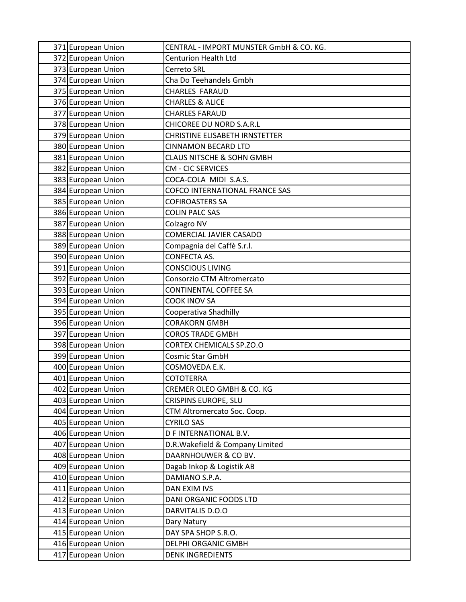| 371 European Union                       | CENTRAL - IMPORT MUNSTER GmbH & CO. KG.           |
|------------------------------------------|---------------------------------------------------|
| 372 European Union                       | <b>Centurion Health Ltd</b>                       |
| 373 European Union                       | Cerreto SRL                                       |
| 374 European Union                       | Cha Do Teehandels Gmbh                            |
| 375 European Union                       | <b>CHARLES FARAUD</b>                             |
| 376 European Union                       | <b>CHARLES &amp; ALICE</b>                        |
| 377 European Union                       | <b>CHARLES FARAUD</b>                             |
| 378 European Union                       | CHICOREE DU NORD S.A.R.L                          |
| 379 European Union                       | <b>CHRISTINE ELISABETH IRNSTETTER</b>             |
| 380 European Union                       | <b>CINNAMON BECARD LTD</b>                        |
| 381 European Union                       | <b>CLAUS NITSCHE &amp; SOHN GMBH</b>              |
| 382 European Union                       | <b>CM - CIC SERVICES</b>                          |
| 383 European Union                       | COCA-COLA MIDI S.A.S.                             |
| 384 European Union                       | COFCO INTERNATIONAL FRANCE SAS                    |
| 385 European Union                       | <b>COFIROASTERS SA</b>                            |
| 386 European Union                       | <b>COLIN PALC SAS</b>                             |
| 387 European Union                       | Colzagro NV                                       |
| 388 European Union                       | COMERCIAL JAVIER CASADO                           |
| 389 European Union                       | Compagnia del Caffè S.r.l.                        |
| 390 European Union                       | CONFECTA AS.                                      |
| 391 European Union                       | <b>CONSCIOUS LIVING</b>                           |
| 392 European Union                       | Consorzio CTM Altromercato                        |
| 393 European Union                       | <b>CONTINENTAL COFFEE SA</b>                      |
| 394 European Union                       | <b>COOK INOV SA</b>                               |
| 395 European Union                       | Cooperativa Shadhilly                             |
| 396 European Union                       | <b>CORAKORN GMBH</b>                              |
| 397 European Union                       | <b>COROS TRADE GMBH</b>                           |
| 398 European Union                       | <b>CORTEX CHEMICALS SP.ZO.O</b>                   |
| 399 European Union                       | <b>Cosmic Star GmbH</b>                           |
| 400 European Union                       | COSMOVEDA E.K.                                    |
| 401 European Union<br>402 European Union | <b>COTOTERRA</b>                                  |
| 403 European Union                       | CREMER OLEO GMBH & CO. KG<br>CRISPINS EUROPE, SLU |
| 404 European Union                       | CTM Altromercato Soc. Coop.                       |
| 405 European Union                       | <b>CYRILO SAS</b>                                 |
| 406 European Union                       | D F INTERNATIONAL B.V.                            |
| 407 European Union                       | D.R. Wakefield & Company Limited                  |
| 408 European Union                       | DAARNHOUWER & CO BV.                              |
| 409 European Union                       | Dagab Inkop & Logistik AB                         |
| 410 European Union                       | DAMIANO S.P.A.                                    |
| 411 European Union                       | <b>DAN EXIM IVS</b>                               |
| 412 European Union                       | DANI ORGANIC FOODS LTD                            |
| 413 European Union                       | DARVITALIS D.O.O                                  |
| 414 European Union                       | Dary Natury                                       |
| 415 European Union                       | DAY SPA SHOP S.R.O.                               |
| 416 European Union                       | DELPHI ORGANIC GMBH                               |
| 417 European Union                       | <b>DENK INGREDIENTS</b>                           |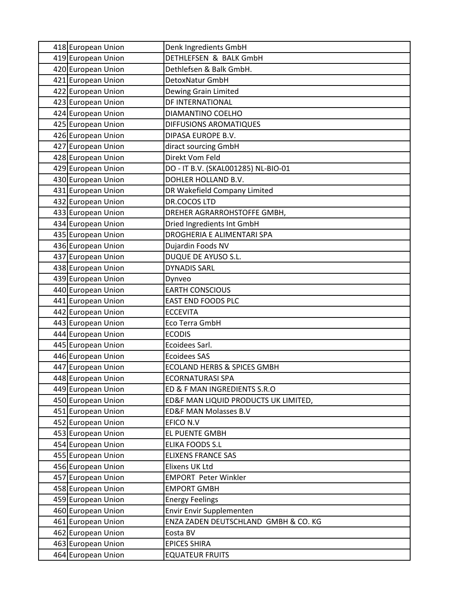| 418 European Union | Denk Ingredients GmbH                  |
|--------------------|----------------------------------------|
| 419 European Union | DETHLEFSEN & BALK GmbH                 |
| 420 European Union | Dethlefsen & Balk GmbH.                |
| 421 European Union | DetoxNatur GmbH                        |
| 422 European Union | Dewing Grain Limited                   |
| 423 European Union | DF INTERNATIONAL                       |
| 424 European Union | DIAMANTINO COELHO                      |
| 425 European Union | DIFFUSIONS AROMATIQUES                 |
| 426 European Union | DIPASA EUROPE B.V.                     |
| 427 European Union | diract sourcing GmbH                   |
| 428 European Union | Direkt Vom Feld                        |
| 429 European Union | DO - IT B.V. (SKAL001285) NL-BIO-01    |
| 430 European Union | DOHLER HOLLAND B.V.                    |
| 431 European Union | DR Wakefield Company Limited           |
| 432 European Union | DR.COCOS LTD                           |
| 433 European Union | DREHER AGRARROHSTOFFE GMBH,            |
| 434 European Union | Dried Ingredients Int GmbH             |
| 435 European Union | DROGHERIA E ALIMENTARI SPA             |
| 436 European Union | Dujardin Foods NV                      |
| 437 European Union | <b>DUQUE DE AYUSO S.L.</b>             |
| 438 European Union | <b>DYNADIS SARL</b>                    |
| 439 European Union | Dynveo                                 |
| 440 European Union | <b>EARTH CONSCIOUS</b>                 |
| 441 European Union | <b>EAST END FOODS PLC</b>              |
| 442 European Union | <b>ECCEVITA</b>                        |
| 443 European Union | Eco Terra GmbH                         |
| 444 European Union | <b>ECODIS</b>                          |
| 445 European Union | Ecoidees Sarl.                         |
| 446 European Union | <b>Ecoidees SAS</b>                    |
| 447 European Union | <b>ECOLAND HERBS &amp; SPICES GMBH</b> |
| 448 European Union | <b>ECORNATURASI SPA</b>                |
| 449 European Union | ED & F MAN INGREDIENTS S.R.O           |
| 450 European Union | ED&F MAN LIQUID PRODUCTS UK LIMITED,   |
| 451 European Union | <b>ED&amp;F MAN Molasses B.V</b>       |
| 452 European Union | EFICO N.V                              |
| 453 European Union | EL PUENTE GMBH                         |
| 454 European Union | <b>ELIKA FOODS S.L</b>                 |
| 455 European Union | <b>ELIXENS FRANCE SAS</b>              |
| 456 European Union | Elixens UK Ltd                         |
| 457 European Union | <b>EMPORT Peter Winkler</b>            |
| 458 European Union | <b>EMPORT GMBH</b>                     |
| 459 European Union | <b>Energy Feelings</b>                 |
| 460 European Union | Envir Envir Supplementen               |
| 461 European Union | ENZA ZADEN DEUTSCHLAND GMBH & CO. KG   |
| 462 European Union | Eosta BV                               |
| 463 European Union | <b>EPICES SHIRA</b>                    |
| 464 European Union | <b>EQUATEUR FRUITS</b>                 |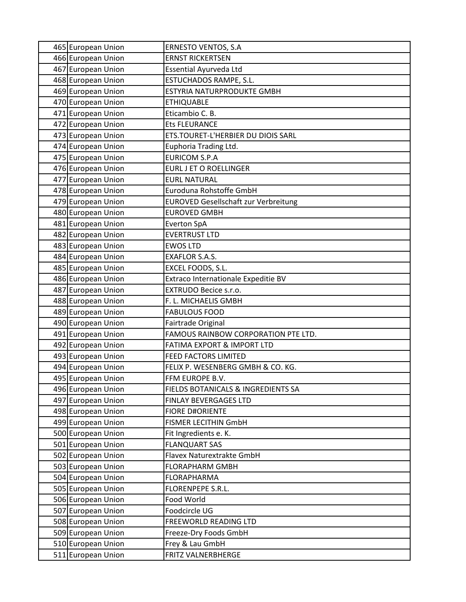| 465 European Union                       | <b>ERNESTO VENTOS, S.A</b>                     |
|------------------------------------------|------------------------------------------------|
| 466 European Union                       | <b>ERNST RICKERTSEN</b>                        |
| 467 European Union                       | Essential Ayurveda Ltd                         |
| 468 European Union                       | ESTUCHADOS RAMPE, S.L.                         |
| 469 European Union                       | ESTYRIA NATURPRODUKTE GMBH                     |
| 470 European Union                       | <b>ETHIQUABLE</b>                              |
| 471 European Union                       | Eticambio C. B.                                |
| 472 European Union                       | <b>Ets FLEURANCE</b>                           |
| 473 European Union                       | ETS.TOURET-L'HERBIER DU DIOIS SARL             |
| 474 European Union                       | Euphoria Trading Ltd.                          |
| 475 European Union                       | <b>EURICOM S.P.A</b>                           |
| 476 European Union                       | <b>EURL J ET O ROELLINGER</b>                  |
| 477 European Union                       | <b>EURL NATURAL</b>                            |
| 478 European Union                       | Euroduna Rohstoffe GmbH                        |
| 479 European Union                       | <b>EUROVED Gesellschaft zur Verbreitung</b>    |
| 480 European Union                       | <b>EUROVED GMBH</b>                            |
| 481 European Union                       | <b>Everton SpA</b>                             |
| 482 European Union                       | <b>EVERTRUST LTD</b>                           |
| 483 European Union                       | <b>EWOS LTD</b>                                |
| 484 European Union                       | <b>EXAFLOR S.A.S.</b>                          |
| 485 European Union                       | EXCEL FOODS, S.L.                              |
| 486 European Union                       | Extraco Internationale Expeditie BV            |
| 487 European Union                       | EXTRUDO Becice s.r.o.                          |
| 488 European Union                       | F. L. MICHAELIS GMBH                           |
| 489 European Union                       | <b>FABULOUS FOOD</b>                           |
| 490 European Union                       | Fairtrade Original                             |
| 491 European Union                       | FAMOUS RAINBOW CORPORATION PTE LTD.            |
| 492 European Union                       | <b>FATIMA EXPORT &amp; IMPORT LTD</b>          |
| 493 European Union                       | FEED FACTORS LIMITED                           |
| 494 European Union                       | FELIX P. WESENBERG GMBH & CO. KG.              |
| 495 European Union                       | FFM EUROPE B.V.                                |
| 496 European Union                       | FIELDS BOTANICALS & INGREDIENTS SA             |
| 497 European Union                       | FINLAY BEVERGAGES LTD                          |
| 498 European Union<br>499 European Union | <b>FIORE D#ORIENTE</b><br>FISMER LECITHIN GmbH |
| 500 European Union                       | Fit Ingredients e. K.                          |
| 501 European Union                       | <b>FLANQUART SAS</b>                           |
| 502 European Union                       | Flavex Naturextrakte GmbH                      |
| 503 European Union                       | <b>FLORAPHARM GMBH</b>                         |
| 504 European Union                       | <b>FLORAPHARMA</b>                             |
| 505 European Union                       | FLORENPEPE S.R.L.                              |
| 506 European Union                       | Food World                                     |
| 507 European Union                       | Foodcircle UG                                  |
| 508 European Union                       | FREEWORLD READING LTD                          |
| 509 European Union                       | Freeze-Dry Foods GmbH                          |
| 510 European Union                       | Frey & Lau GmbH                                |
| 511 European Union                       | FRITZ VALNERBHERGE                             |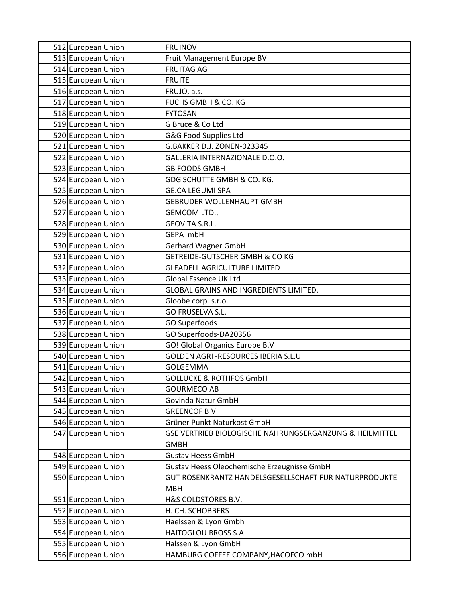| 512 European Union                       | <b>FRUINOV</b>                                          |
|------------------------------------------|---------------------------------------------------------|
| 513 European Union                       | Fruit Management Europe BV                              |
| 514 European Union                       | <b>FRUITAG AG</b>                                       |
| 515 European Union                       | <b>FRUITE</b>                                           |
| 516 European Union                       | FRUJO, a.s.                                             |
| 517 European Union                       | <b>FUCHS GMBH &amp; CO. KG</b>                          |
| 518 European Union                       | <b>FYTOSAN</b>                                          |
| 519 European Union                       | G Bruce & Co Ltd                                        |
| 520 European Union                       | G&G Food Supplies Ltd                                   |
| 521 European Union                       | G.BAKKER D.J. ZONEN-023345                              |
| 522 European Union                       | GALLERIA INTERNAZIONALE D.O.O.                          |
| 523 European Union                       | <b>GB FOODS GMBH</b>                                    |
| 524 European Union                       | GDG SCHUTTE GMBH & CO. KG.                              |
| 525 European Union                       | <b>GE.CA LEGUMI SPA</b>                                 |
| 526 European Union                       | <b>GEBRUDER WOLLENHAUPT GMBH</b>                        |
| 527 European Union                       | GEMCOM LTD.,                                            |
| 528 European Union                       | <b>GEOVITA S.R.L.</b>                                   |
| 529 European Union                       | GEPA mbH                                                |
| 530 European Union                       | Gerhard Wagner GmbH                                     |
| 531 European Union                       | GETREIDE-GUTSCHER GMBH & CO KG                          |
| 532 European Union                       | <b>GLEADELL AGRICULTURE LIMITED</b>                     |
| 533 European Union                       | Global Essence UK Ltd                                   |
| 534 European Union                       | GLOBAL GRAINS AND INGREDIENTS LIMITED.                  |
| 535 European Union                       | Gloobe corp. s.r.o.                                     |
| 536 European Union                       | GO FRUSELVA S.L.                                        |
| 537 European Union                       | GO Superfoods                                           |
| 538 European Union                       | GO Superfoods-DA20356                                   |
| 539 European Union                       | GO! Global Organics Europe B.V                          |
| 540 European Union                       | GOLDEN AGRI -RESOURCES IBERIA S.L.U                     |
| 541 European Union                       | GOLGEMMA                                                |
| 542 European Union                       | <b>GOLLUCKE &amp; ROTHFOS GmbH</b>                      |
| 543 European Union                       | <b>GOURMECO AB</b>                                      |
| 544 European Union                       | Govinda Natur GmbH                                      |
| 545 European Union<br>546 European Union | <b>GREENCOF BV</b><br>Grüner Punkt Naturkost GmbH       |
| 547 European Union                       | GSE VERTRIEB BIOLOGISCHE NAHRUNGSERGANZUNG & HEILMITTEL |
|                                          | <b>GMBH</b>                                             |
| 548 European Union                       | <b>Gustav Heess GmbH</b>                                |
| 549 European Union                       | Gustav Heess Oleochemische Erzeugnisse GmbH             |
| 550 European Union                       | GUT ROSENKRANTZ HANDELSGESELLSCHAFT FUR NATURPRODUKTE   |
|                                          | <b>MBH</b>                                              |
| 551 European Union                       | H&S COLDSTORES B.V.                                     |
| 552 European Union                       | H. CH. SCHOBBERS                                        |
| 553 European Union                       | Haelssen & Lyon Gmbh                                    |
| 554 European Union                       | <b>HAITOGLOU BROSS S.A</b>                              |
| 555 European Union                       | Halssen & Lyon GmbH                                     |
| 556 European Union                       | HAMBURG COFFEE COMPANY, HACOFCO mbH                     |
|                                          |                                                         |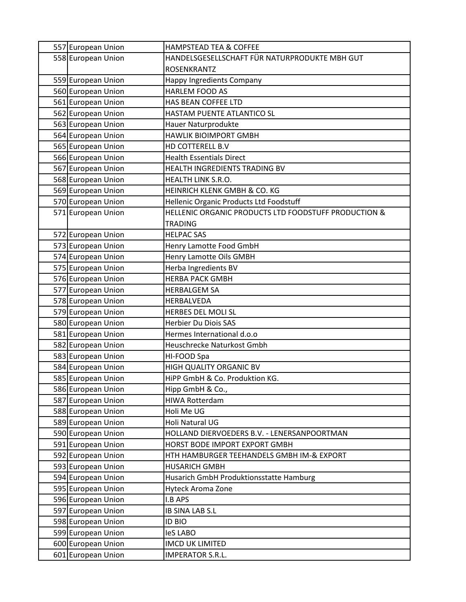| 557 European Union | <b>HAMPSTEAD TEA &amp; COFFEE</b>                    |
|--------------------|------------------------------------------------------|
| 558 European Union | HANDELSGESELLSCHAFT FÜR NATURPRODUKTE MBH GUT        |
|                    | <b>ROSENKRANTZ</b>                                   |
| 559 European Union | Happy Ingredients Company                            |
| 560 European Union | <b>HARLEM FOOD AS</b>                                |
| 561 European Union | HAS BEAN COFFEE LTD                                  |
| 562 European Union | HASTAM PUENTE ATLANTICO SL                           |
| 563 European Union | Hauer Naturprodukte                                  |
| 564 European Union | <b>HAWLIK BIOIMPORT GMBH</b>                         |
| 565 European Union | HD COTTERELL B.V                                     |
| 566 European Union | <b>Health Essentials Direct</b>                      |
| 567 European Union | HEALTH INGREDIENTS TRADING BV                        |
| 568 European Union | HEALTH LINK S.R.O.                                   |
| 569 European Union | HEINRICH KLENK GMBH & CO. KG                         |
| 570 European Union | Hellenic Organic Products Ltd Foodstuff              |
| 571 European Union | HELLENIC ORGANIC PRODUCTS LTD FOODSTUFF PRODUCTION & |
|                    | <b>TRADING</b>                                       |
| 572 European Union | <b>HELPAC SAS</b>                                    |
| 573 European Union | Henry Lamotte Food GmbH                              |
| 574 European Union | Henry Lamotte Oils GMBH                              |
| 575 European Union | Herba Ingredients BV                                 |
| 576 European Union | <b>HERBA PACK GMBH</b>                               |
| 577 European Union | <b>HERBALGEM SA</b>                                  |
| 578 European Union | HERBALVEDA                                           |
| 579 European Union | <b>HERBES DEL MOLI SL</b>                            |
| 580 European Union | Herbier Du Diois SAS                                 |
| 581 European Union | Hermes International d.o.o                           |
| 582 European Union | Heuschrecke Naturkost Gmbh                           |
| 583 European Union | HI-FOOD Spa                                          |
| 584 European Union | HIGH QUALITY ORGANIC BV                              |
| 585 European Union | HiPP GmbH & Co. Produktion KG.                       |
| 586 European Union | Hipp GmbH & Co.,                                     |
| 587 European Union | <b>HIWA Rotterdam</b>                                |
| 588 European Union | Holi Me UG                                           |
| 589 European Union | Holi Natural UG                                      |
| 590 European Union | HOLLAND DIERVOEDERS B.V. - LENERSANPOORTMAN          |
| 591 European Union | HORST BODE IMPORT EXPORT GMBH                        |
| 592 European Union | HTH HAMBURGER TEEHANDELS GMBH IM-& EXPORT            |
| 593 European Union | <b>HUSARICH GMBH</b>                                 |
| 594 European Union | Husarich GmbH Produktionsstatte Hamburg              |
| 595 European Union | <b>Hyteck Aroma Zone</b>                             |
| 596 European Union | I.B APS                                              |
| 597 European Union | <b>IB SINA LAB S.L</b>                               |
| 598 European Union | <b>ID BIO</b>                                        |
| 599 European Union | leS LABO                                             |
| 600 European Union | <b>IMCD UK LIMITED</b>                               |
| 601 European Union | <b>IMPERATOR S.R.L.</b>                              |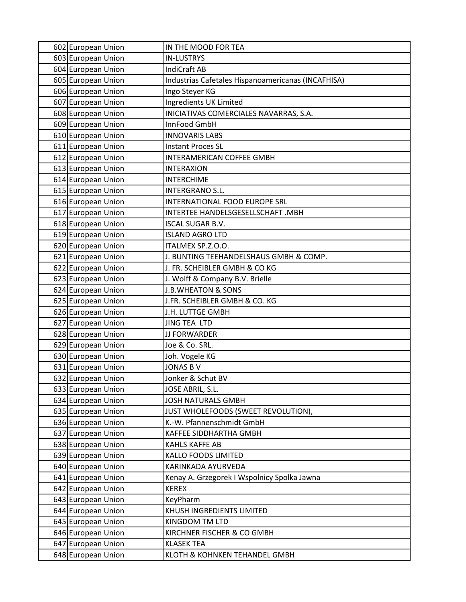| 602 European Union | IN THE MOOD FOR TEA                                |
|--------------------|----------------------------------------------------|
| 603 European Union | <b>IN-LUSTRYS</b>                                  |
| 604 European Union | <b>IndiCraft AB</b>                                |
| 605 European Union | Industrias Cafetales Hispanoamericanas (INCAFHISA) |
| 606 European Union | Ingo Steyer KG                                     |
| 607 European Union | Ingredients UK Limited                             |
| 608 European Union | INICIATIVAS COMERCIALES NAVARRAS, S.A.             |
| 609 European Union | InnFood GmbH                                       |
| 610 European Union | <b>INNOVARIS LABS</b>                              |
| 611 European Union | <b>Instant Proces SL</b>                           |
| 612 European Union | INTERAMERICAN COFFEE GMBH                          |
| 613 European Union | <b>INTERAXION</b>                                  |
| 614 European Union | <b>INTERCHIME</b>                                  |
| 615 European Union | <b>INTERGRANO S.L.</b>                             |
| 616 European Union | INTERNATIONAL FOOD EUROPE SRL                      |
| 617 European Union | INTERTEE HANDELSGESELLSCHAFT .MBH                  |
| 618 European Union | <b>ISCAL SUGAR B.V.</b>                            |
| 619 European Union | <b>ISLAND AGRO LTD</b>                             |
| 620 European Union | ITALMEX SP.Z.O.O.                                  |
| 621 European Union | J. BUNTING TEEHANDELSHAUS GMBH & COMP.             |
| 622 European Union | J. FR. SCHEIBLER GMBH & CO KG                      |
| 623 European Union | J. Wolff & Company B.V. Brielle                    |
| 624 European Union | <b>J.B.WHEATON &amp; SONS</b>                      |
| 625 European Union | J.FR. SCHEIBLER GMBH & CO. KG                      |
| 626 European Union | J.H. LUTTGE GMBH                                   |
| 627 European Union | <b>JING TEA LTD</b>                                |
| 628 European Union | JJ FORWARDER                                       |
| 629 European Union | Joe & Co. SRL.                                     |
| 630 European Union | Joh. Vogele KG                                     |
| 631 European Union | <b>JONAS B V</b>                                   |
| 632 European Union | Jonker & Schut BV                                  |
| 633 European Union | JOSE ABRIL, S.L.                                   |
| 634 European Union | <b>JOSH NATURALS GMBH</b>                          |
| 635 European Union | JUST WHOLEFOODS (SWEET REVOLUTION),                |
| 636 European Union | K.-W. Pfannenschmidt GmbH                          |
| 637 European Union | <b>KAFFEE SIDDHARTHA GMBH</b>                      |
| 638 European Union | KAHLS KAFFE AB                                     |
| 639 European Union | <b>KALLO FOODS LIMITED</b>                         |
| 640 European Union | KARINKADA AYURVEDA                                 |
| 641 European Union | Kenay A. Grzegorek I Wspolnicy Spolka Jawna        |
| 642 European Union | <b>KEREX</b>                                       |
| 643 European Union | KeyPharm                                           |
| 644 European Union | KHUSH INGREDIENTS LIMITED                          |
| 645 European Union | KINGDOM TM LTD                                     |
| 646 European Union | KIRCHNER FISCHER & CO GMBH                         |
| 647 European Union | <b>KLASEK TEA</b>                                  |
| 648 European Union | KLOTH & KOHNKEN TEHANDEL GMBH                      |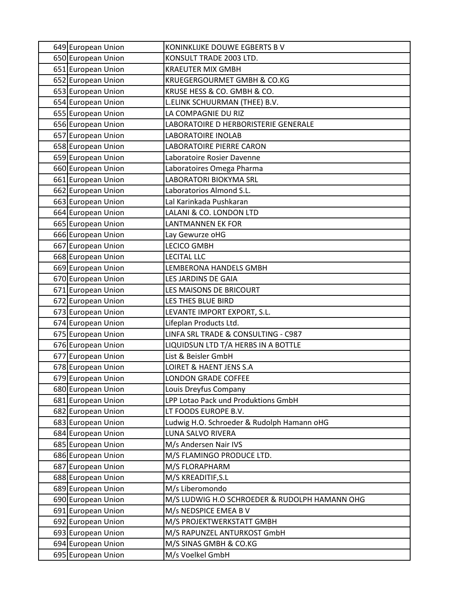| 649 European Union | KONINKLIJKE DOUWE EGBERTS B V                 |
|--------------------|-----------------------------------------------|
| 650 European Union | KONSULT TRADE 2003 LTD.                       |
| 651 European Union | <b>KRAEUTER MIX GMBH</b>                      |
| 652 European Union | KRUEGERGOURMET GMBH & CO.KG                   |
| 653 European Union | KRUSE HESS & CO. GMBH & CO.                   |
| 654 European Union | L.ELINK SCHUURMAN (THEE) B.V.                 |
| 655 European Union | LA COMPAGNIE DU RIZ                           |
| 656 European Union | LABORATOIRE D HERBORISTERIE GENERALE          |
| 657 European Union | <b>LABORATOIRE INOLAB</b>                     |
| 658 European Union | LABORATOIRE PIERRE CARON                      |
| 659 European Union | Laboratoire Rosier Davenne                    |
| 660 European Union | Laboratoires Omega Pharma                     |
| 661 European Union | <b>LABORATORI BIOKYMA SRL</b>                 |
| 662 European Union | Laboratorios Almond S.L.                      |
| 663 European Union | Lal Karinkada Pushkaran                       |
| 664 European Union | LALANI & CO. LONDON LTD                       |
| 665 European Union | <b>LANTMANNEN EK FOR</b>                      |
| 666 European Union | Lay Gewurze oHG                               |
| 667 European Union | <b>LECICO GMBH</b>                            |
| 668 European Union | <b>LECITAL LLC</b>                            |
| 669 European Union | LEMBERONA HANDELS GMBH                        |
| 670 European Union | LES JARDINS DE GAIA                           |
| 671 European Union | LES MAISONS DE BRICOURT                       |
| 672 European Union | LES THES BLUE BIRD                            |
| 673 European Union | LEVANTE IMPORT EXPORT, S.L.                   |
| 674 European Union | Lifeplan Products Ltd.                        |
| 675 European Union | LINFA SRL TRADE & CONSULTING - C987           |
| 676 European Union | LIQUIDSUN LTD T/A HERBS IN A BOTTLE           |
| 677 European Union | List & Beisler GmbH                           |
| 678 European Union | LOIRET & HAENT JENS S.A                       |
| 679 European Union | <b>LONDON GRADE COFFEE</b>                    |
| 680 European Union | Louis Dreyfus Company                         |
| 681 European Union | LPP Lotao Pack und Produktions GmbH           |
| 682 European Union | LT FOODS EUROPE B.V.                          |
| 683 European Union | Ludwig H.O. Schroeder & Rudolph Hamann oHG    |
| 684 European Union | LUNA SALVO RIVERA                             |
| 685 European Union | M/s Andersen Nair IVS                         |
| 686 European Union | M/S FLAMINGO PRODUCE LTD.                     |
| 687 European Union | M/S FLORAPHARM                                |
| 688 European Union | M/S KREADITIF, S.L                            |
| 689 European Union | M/s Liberomondo                               |
| 690 European Union | M/S LUDWIG H.O SCHROEDER & RUDOLPH HAMANN OHG |
| 691 European Union | M/s NEDSPICE EMEA B V                         |
| 692 European Union | M/S PROJEKTWERKSTATT GMBH                     |
| 693 European Union | M/S RAPUNZEL ANTURKOST GmbH                   |
| 694 European Union | M/S SINAS GMBH & CO.KG                        |
| 695 European Union | M/s Voelkel GmbH                              |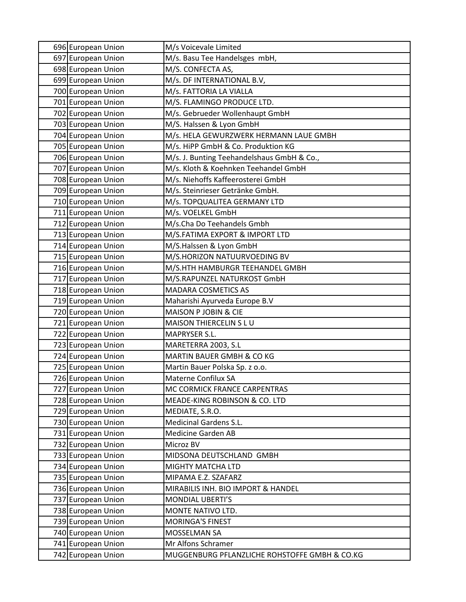| 696 European Union                       | M/s Voicevale Limited                            |
|------------------------------------------|--------------------------------------------------|
| 697 European Union                       | M/s. Basu Tee Handelsges mbH,                    |
| 698 European Union                       | M/S. CONFECTA AS,                                |
| 699 European Union                       | M/s. DF INTERNATIONAL B.V,                       |
| 700 European Union                       | M/s. FATTORIA LA VIALLA                          |
| 701 European Union                       | M/S. FLAMINGO PRODUCE LTD.                       |
| 702 European Union                       | M/s. Gebrueder Wollenhaupt GmbH                  |
| 703 European Union                       | M/S. Halssen & Lyon GmbH                         |
| 704 European Union                       | M/s. HELA GEWURZWERK HERMANN LAUE GMBH           |
| 705 European Union                       | M/s. HiPP GmbH & Co. Produktion KG               |
| 706 European Union                       | M/s. J. Bunting Teehandelshaus GmbH & Co.,       |
| 707 European Union                       | M/s. Kloth & Koehnken Teehandel GmbH             |
| 708 European Union                       | M/s. Niehoffs Kaffeerosterei GmbH                |
| 709 European Union                       | M/s. Steinrieser Getränke GmbH.                  |
| 710 European Union                       | M/s. TOPQUALITEA GERMANY LTD                     |
| 711 European Union                       | M/s. VOELKEL GmbH                                |
| 712 European Union                       | M/s.Cha Do Teehandels Gmbh                       |
| 713 European Union                       | M/S.FATIMA EXPORT & IMPORT LTD                   |
| 714 European Union                       | M/S.Halssen & Lyon GmbH                          |
| 715 European Union                       | M/S.HORIZON NATUURVOEDING BV                     |
| 716 European Union                       | M/S.HTH HAMBURGR TEEHANDEL GMBH                  |
| 717 European Union                       | M/S.RAPUNZEL NATURKOST GmbH                      |
| 718 European Union                       | <b>MADARA COSMETICS AS</b>                       |
| 719 European Union                       | Maharishi Ayurveda Europe B.V                    |
| 720 European Union                       | MAISON P JOBIN & CIE                             |
| 721 European Union                       | MAISON THIERCELIN S L U                          |
| 722 European Union                       | MAPRYSER S.L.                                    |
| 723 European Union                       | MARETERRA 2003, S.L                              |
| 724 European Union                       | MARTIN BAUER GMBH & CO KG                        |
| 725 European Union                       | Martin Bauer Polska Sp. z o.o.                   |
| 726 European Union                       | Materne Confilux SA                              |
| 727 European Union                       | MC CORMICK FRANCE CARPENTRAS                     |
| 728 European Union                       | MEADE-KING ROBINSON & CO. LTD                    |
| 729 European Union<br>730 European Union | MEDIATE, S.R.O.<br><b>Medicinal Gardens S.L.</b> |
| 731 European Union                       | <b>Medicine Garden AB</b>                        |
| 732 European Union                       | Microz BV                                        |
| 733 European Union                       | MIDSONA DEUTSCHLAND GMBH                         |
| 734 European Union                       | MIGHTY MATCHA LTD                                |
| 735 European Union                       | MIPAMA E.Z. SZAFARZ                              |
| 736 European Union                       | MIRABILIS INH. BIO IMPORT & HANDEL               |
| 737 European Union                       | MONDIAL UBERTI'S                                 |
| 738 European Union                       | MONTE NATIVO LTD.                                |
| 739 European Union                       | <b>MORINGA'S FINEST</b>                          |
| 740 European Union                       | <b>MOSSELMAN SA</b>                              |
| 741 European Union                       | Mr Alfons Schramer                               |
| 742 European Union                       | MUGGENBURG PFLANZLICHE ROHSTOFFE GMBH & CO.KG    |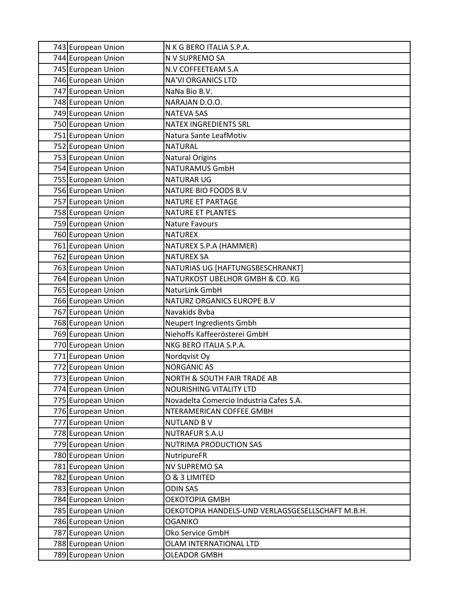| 743 European Union | N K G BERO ITALIA S.P.A.                         |
|--------------------|--------------------------------------------------|
| 744 European Union | N V SUPREMO SA                                   |
| 745 European Union | N.V COFFEETEAM S.A                               |
| 746 European Union | <b>NA'VI ORGANICS LTD</b>                        |
| 747 European Union | NaNa Bio B.V.                                    |
| 748 European Union | NARAJAN D.O.O.                                   |
| 749 European Union | <b>NATEVA SAS</b>                                |
| 750 European Union | <b>NATEX INGREDIENTS SRL</b>                     |
| 751 European Union | Natura Sante LeafMotiv                           |
| 752 European Union | <b>NATURAL</b>                                   |
| 753 European Union | <b>Natural Origins</b>                           |
| 754 European Union | <b>NATURAMUS GmbH</b>                            |
| 755 European Union | <b>NATURAR UG</b>                                |
| 756 European Union | NATURE BIO FOODS B.V                             |
| 757 European Union | NATURE ET PARTAGE                                |
| 758 European Union | NATURE ET PLANTES                                |
| 759 European Union | Nature Favours                                   |
| 760 European Union | <b>NATUREX</b>                                   |
| 761 European Union | NATUREX S.P.A (HAMMER)                           |
| 762 European Union | <b>NATUREX SA</b>                                |
| 763 European Union | NATURIAS UG [HAFTUNGSBESCHRANKT]                 |
| 764 European Union | NATURKOST UBELHOR GMBH & CO. KG                  |
| 765 European Union | NaturLink GmbH                                   |
| 766 European Union | NATURZ ORGANICS EUROPE B.V                       |
| 767 European Union | Navakids Bvba                                    |
| 768 European Union | Neupert Ingredients Gmbh                         |
| 769 European Union | Niehoffs Kaffeerösterei GmbH                     |
| 770 European Union | NKG BERO ITALIA S.P.A.                           |
| 771 European Union | Nordqvist Oy                                     |
| 772 European Union | <b>NORGANIC AS</b>                               |
| 773 European Union | <b>NORTH &amp; SOUTH FAIR TRADE AB</b>           |
| 774 European Union | <b>NOURISHING VITALITY LTD</b>                   |
| 775 European Union | Novadelta Comercio Industria Cafes S.A.          |
| 776 European Union | NTERAMERICAN COFFEE GMBH                         |
| 777 European Union | <b>NUTLAND BV</b>                                |
| 778 European Union | <b>NUTRAFUR S.A.U</b>                            |
| 779 European Union | NUTRIMA PRODUCTION SAS                           |
| 780 European Union | NutripureFR                                      |
| 781 European Union | NV SUPREMO SA                                    |
| 782 European Union | O & 3 LIMITED                                    |
| 783 European Union | <b>ODIN SAS</b>                                  |
| 784 European Union | ОЕКОТОРІА GMBH                                   |
| 785 European Union | OEKOTOPIA HANDELS-UND VERLAGSGESELLSCHAFT M.B.H. |
| 786 European Union | <b>OGANIKO</b>                                   |
| 787 European Union | Oko Service GmbH                                 |
| 788 European Union | OLAM INTERNATIONAL LTD                           |
| 789 European Union | <b>OLEADOR GMBH</b>                              |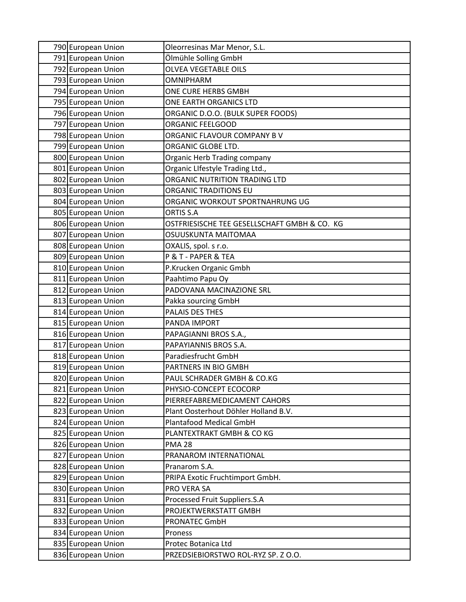| 790 European Union | Oleorresinas Mar Menor, S.L.                 |
|--------------------|----------------------------------------------|
| 791 European Union | Ölmühle Solling GmbH                         |
| 792 European Union | <b>OLVEA VEGETABLE OILS</b>                  |
| 793 European Union | <b>OMNIPHARM</b>                             |
| 794 European Union | ONE CURE HERBS GMBH                          |
| 795 European Union | ONE EARTH ORGANICS LTD                       |
| 796 European Union | ORGANIC D.O.O. (BULK SUPER FOODS)            |
| 797 European Union | ORGANIC FEELGOOD                             |
| 798 European Union | ORGANIC FLAVOUR COMPANY BV                   |
| 799 European Union | ORGANIC GLOBE LTD.                           |
| 800 European Union | Organic Herb Trading company                 |
| 801 European Union | Organic LIfestyle Trading Ltd.,              |
| 802 European Union | ORGANIC NUTRITION TRADING LTD                |
| 803 European Union | <b>ORGANIC TRADITIONS EU</b>                 |
| 804 European Union | ORGANIC WORKOUT SPORTNAHRUNG UG              |
| 805 European Union | ORTIS S.A                                    |
| 806 European Union | OSTFRIESISCHE TEE GESELLSCHAFT GMBH & CO. KG |
| 807 European Union | OSUUSKUNTA MAITOMAA                          |
| 808 European Union | OXALIS, spol. s r.o.                         |
| 809 European Union | P & T - PAPER & TEA                          |
| 810 European Union | P.Krucken Organic Gmbh                       |
| 811 European Union | Paahtimo Papu Oy                             |
| 812 European Union | PADOVANA MACINAZIONE SRL                     |
| 813 European Union | Pakka sourcing GmbH                          |
| 814 European Union | PALAIS DES THES                              |
| 815 European Union | PANDA IMPORT                                 |
| 816 European Union | PAPAGIANNI BROS S.A.,                        |
| 817 European Union | PAPAYIANNIS BROS S.A.                        |
| 818 European Union | Paradiesfrucht GmbH                          |
| 819 European Union | PARTNERS IN BIO GMBH                         |
| 820 European Union | PAUL SCHRADER GMBH & CO.KG                   |
| 821 European Union | PHYSIO-CONCEPT ECOCORP                       |
| 822 European Union | PIERREFABREMEDICAMENT CAHORS                 |
| 823 European Union | Plant Oosterhout Döhler Holland B.V.         |
| 824 European Union | Plantafood Medical GmbH                      |
| 825 European Union | PLANTEXTRAKT GMBH & CO KG                    |
| 826 European Union | <b>PMA 28</b>                                |
| 827 European Union | PRANAROM INTERNATIONAL                       |
| 828 European Union | Pranarom S.A.                                |
| 829 European Union | PRIPA Exotic Fruchtimport GmbH.              |
| 830 European Union | PRO VERA SA                                  |
| 831 European Union | Processed Fruit Suppliers.S.A                |
| 832 European Union | PROJEKTWERKSTATT GMBH                        |
| 833 European Union | PRONATEC GmbH                                |
| 834 European Union | Proness                                      |
| 835 European Union | Protec Botanica Ltd                          |
| 836 European Union | PRZEDSIEBIORSTWO ROL-RYZ SP. Z O.O.          |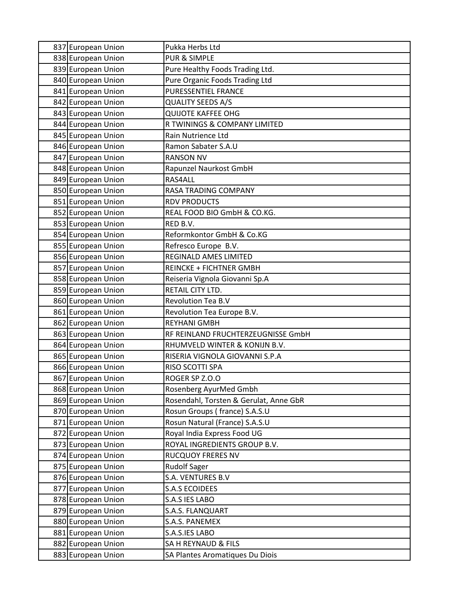| 837 European Union | Pukka Herbs Ltd                        |
|--------------------|----------------------------------------|
| 838 European Union | <b>PUR &amp; SIMPLE</b>                |
| 839 European Union | Pure Healthy Foods Trading Ltd.        |
| 840 European Union | Pure Organic Foods Trading Ltd         |
| 841 European Union | PURESSENTIEL FRANCE                    |
| 842 European Union | <b>QUALITY SEEDS A/S</b>               |
| 843 European Union | <b>QUIJOTE KAFFEE OHG</b>              |
| 844 European Union | R TWININGS & COMPANY LIMITED           |
| 845 European Union | Rain Nutrience Ltd                     |
| 846 European Union | Ramon Sabater S.A.U                    |
| 847 European Union | <b>RANSON NV</b>                       |
| 848 European Union | Rapunzel Naurkost GmbH                 |
| 849 European Union | RAS4ALL                                |
| 850 European Union | RASA TRADING COMPANY                   |
| 851 European Union | <b>RDV PRODUCTS</b>                    |
| 852 European Union | REAL FOOD BIO GmbH & CO.KG.            |
| 853 European Union | RED B.V.                               |
| 854 European Union | Reformkontor GmbH & Co.KG              |
| 855 European Union | Refresco Europe B.V.                   |
| 856 European Union | <b>REGINALD AMES LIMITED</b>           |
| 857 European Union | <b>REINCKE + FICHTNER GMBH</b>         |
| 858 European Union | Reiseria Vignola Giovanni Sp.A         |
| 859 European Union | RETAIL CITY LTD.                       |
| 860 European Union | <b>Revolution Tea B.V</b>              |
| 861 European Union | Revolution Tea Europe B.V.             |
| 862 European Union | <b>REYHANI GMBH</b>                    |
| 863 European Union | RF REINLAND FRUCHTERZEUGNISSE GmbH     |
| 864 European Union | RHUMVELD WINTER & KONIJN B.V.          |
| 865 European Union | RISERIA VIGNOLA GIOVANNI S.P.A         |
| 866 European Union | RISO SCOTTI SPA                        |
| 867 European Union | ROGER SP Z.O.O                         |
| 868 European Union | Rosenberg AyurMed Gmbh                 |
| 869 European Union | Rosendahl, Torsten & Gerulat, Anne GbR |
| 870 European Union | Rosun Groups (france) S.A.S.U          |
| 871 European Union | Rosun Natural (France) S.A.S.U         |
| 872 European Union | Royal India Express Food UG            |
| 873 European Union | ROYAL INGREDIENTS GROUP B.V.           |
| 874 European Union | <b>RUCQUOY FRERES NV</b>               |
| 875 European Union | <b>Rudolf Sager</b>                    |
| 876 European Union | S.A. VENTURES B.V                      |
| 877 European Union | S.A.S ECOIDEES                         |
| 878 European Union | S.A.S IES LABO                         |
| 879 European Union | S.A.S. FLANQUART                       |
| 880 European Union | S.A.S. PANEMEX                         |
| 881 European Union | S.A.S.IES LABO                         |
| 882 European Union | SA H REYNAUD & FILS                    |
| 883 European Union | SA Plantes Aromatiques Du Diois        |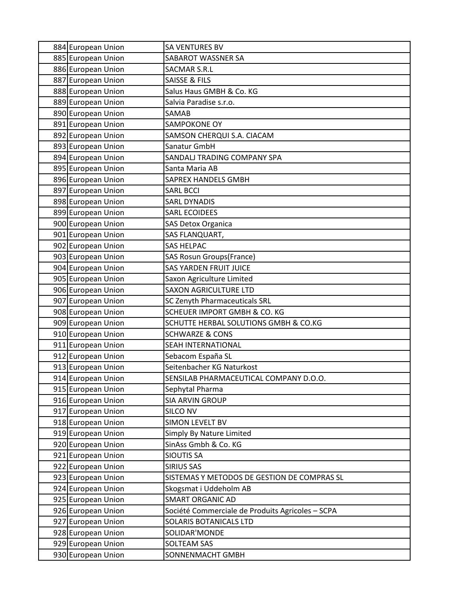| 884 European Union | <b>SA VENTURES BV</b>                            |
|--------------------|--------------------------------------------------|
| 885 European Union | SABAROT WASSNER SA                               |
| 886 European Union | <b>SACMAR S.R.L</b>                              |
| 887 European Union | <b>SAISSE &amp; FILS</b>                         |
| 888 European Union | Salus Haus GMBH & Co. KG                         |
| 889 European Union | Salvia Paradise s.r.o.                           |
| 890 European Union | SAMAB                                            |
| 891 European Union | SAMPOKONE OY                                     |
| 892 European Union | SAMSON CHERQUI S.A. CIACAM                       |
| 893 European Union | Sanatur GmbH                                     |
| 894 European Union | SANDALJ TRADING COMPANY SPA                      |
| 895 European Union | Santa Maria AB                                   |
| 896 European Union | SAPREX HANDELS GMBH                              |
| 897 European Union | <b>SARL BCCI</b>                                 |
| 898 European Union | <b>SARL DYNADIS</b>                              |
| 899 European Union | <b>SARL ECOIDEES</b>                             |
| 900 European Union | <b>SAS Detox Organica</b>                        |
| 901 European Union | SAS FLANQUART,                                   |
| 902 European Union | <b>SAS HELPAC</b>                                |
| 903 European Union | <b>SAS Rosun Groups(France)</b>                  |
| 904 European Union | <b>SAS YARDEN FRUIT JUICE</b>                    |
| 905 European Union | Saxon Agriculture Limited                        |
| 906 European Union | <b>SAXON AGRICULTURE LTD</b>                     |
| 907 European Union | <b>SC Zenyth Pharmaceuticals SRL</b>             |
| 908 European Union | SCHEUER IMPORT GMBH & CO. KG                     |
| 909 European Union | SCHUTTE HERBAL SOLUTIONS GMBH & CO.KG            |
| 910 European Union | <b>SCHWARZE &amp; CONS</b>                       |
| 911 European Union | <b>SEAH INTERNATIONAL</b>                        |
| 912 European Union | Sebacom España SL                                |
| 913 European Union | Seitenbacher KG Naturkost                        |
| 914 European Union | SENSILAB PHARMACEUTICAL COMPANY D.O.O.           |
| 915 European Union | Sephytal Pharma                                  |
| 916 European Union | <b>SIA ARVIN GROUP</b>                           |
| 917 European Union | <b>SILCO NV</b>                                  |
| 918 European Union | <b>SIMON LEVELT BV</b>                           |
| 919 European Union | Simply By Nature Limited                         |
| 920 European Union | SinAss Gmbh & Co. KG                             |
| 921 European Union | <b>SIOUTIS SA</b>                                |
| 922 European Union | <b>SIRIUS SAS</b>                                |
| 923 European Union | SISTEMAS Y METODOS DE GESTION DE COMPRAS SL      |
| 924 European Union | Skogsmat i Uddeholm AB                           |
| 925 European Union | <b>SMART ORGANIC AD</b>                          |
| 926 European Union | Société Commerciale de Produits Agricoles - SCPA |
| 927 European Union | SOLARIS BOTANICALS LTD                           |
| 928 European Union | SOLIDAR'MONDE                                    |
| 929 European Union | <b>SOLTEAM SAS</b>                               |
| 930 European Union | SONNENMACHT GMBH                                 |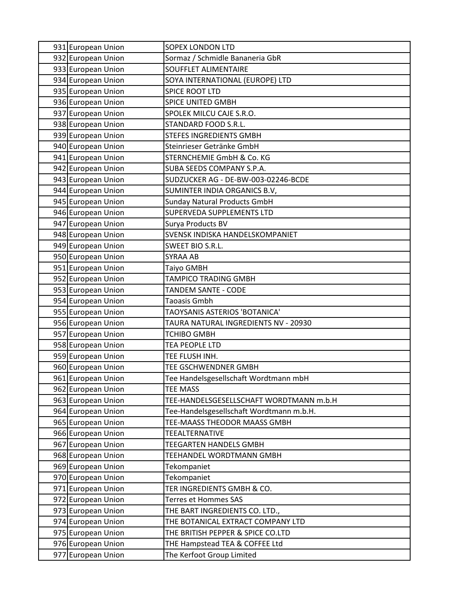| 931 European Union                       | <b>SOPEX LONDON LTD</b>                                                  |
|------------------------------------------|--------------------------------------------------------------------------|
| 932 European Union                       | Sormaz / Schmidle Bananeria GbR                                          |
| 933 European Union                       | <b>SOUFFLET ALIMENTAIRE</b>                                              |
| 934 European Union                       | SOYA INTERNATIONAL (EUROPE) LTD                                          |
| 935 European Union                       | <b>SPICE ROOT LTD</b>                                                    |
| 936 European Union                       | SPICE UNITED GMBH                                                        |
| 937 European Union                       | SPOLEK MILCU CAJE S.R.O.                                                 |
| 938 European Union                       | STANDARD FOOD S.R.L.                                                     |
| 939 European Union                       | <b>STEFES INGREDIENTS GMBH</b>                                           |
| 940 European Union                       | Steinrieser Getränke GmbH                                                |
| 941 European Union                       | STERNCHEMIE GmbH & Co. KG                                                |
| 942 European Union                       | SUBA SEEDS COMPANY S.P.A.                                                |
| 943 European Union                       | SUDZUCKER AG - DE-BW-003-02246-BCDE                                      |
| 944 European Union                       | SUMINTER INDIA ORGANICS B.V,                                             |
| 945 European Union                       | <b>Sunday Natural Products GmbH</b>                                      |
| 946 European Union                       | <b>SUPERVEDA SUPPLEMENTS LTD</b>                                         |
| 947 European Union                       | Surya Products BV                                                        |
| 948 European Union                       | SVENSK INDISKA HANDELSKOMPANIET                                          |
| 949 European Union                       | SWEET BIO S.R.L.                                                         |
| 950 European Union                       | SYRAA AB                                                                 |
| 951 European Union                       | Taiyo GMBH                                                               |
| 952 European Union                       | TAMPICO TRADING GMBH                                                     |
| 953 European Union                       | TANDEM SANTE - CODE                                                      |
| 954 European Union                       | Taoasis Gmbh                                                             |
| 955 European Union                       | TAOYSANIS ASTERIOS 'BOTANICA'                                            |
| 956 European Union                       | TAURA NATURAL INGREDIENTS NV - 20930                                     |
| 957 European Union                       | TCHIBO GMBH                                                              |
| 958 European Union                       | TEA PEOPLE LTD                                                           |
| 959 European Union                       | TEE FLUSH INH.                                                           |
| 960 European Union                       | TEE GSCHWENDNER GMBH                                                     |
| 961 European Union                       | Tee Handelsgesellschaft Wordtmann mbH<br><b>TEE MASS</b>                 |
| 962 European Union                       |                                                                          |
| 963 European Union                       | TEE-HANDELSGESELLSCHAFT WORDTMANN m.b.H                                  |
| 964 European Union<br>965 European Union | Tee-Handelsgesellschaft Wordtmann m.b.H.<br>TEE-MAASS THEODOR MAASS GMBH |
| 966 European Union                       | TEEALTERNATIVE                                                           |
| 967 European Union                       | TEEGARTEN HANDELS GMBH                                                   |
| 968 European Union                       | TEEHANDEL WORDTMANN GMBH                                                 |
| 969 European Union                       | <b>Tekompaniet</b>                                                       |
| 970 European Union                       | Tekompaniet                                                              |
| 971 European Union                       | TER INGREDIENTS GMBH & CO.                                               |
| 972 European Union                       | Terres et Hommes SAS                                                     |
| 973 European Union                       | THE BART INGREDIENTS CO. LTD.,                                           |
| 974 European Union                       | THE BOTANICAL EXTRACT COMPANY LTD                                        |
| 975 European Union                       | THE BRITISH PEPPER & SPICE CO.LTD                                        |
| 976 European Union                       | THE Hampstead TEA & COFFEE Ltd                                           |
| 977 European Union                       | The Kerfoot Group Limited                                                |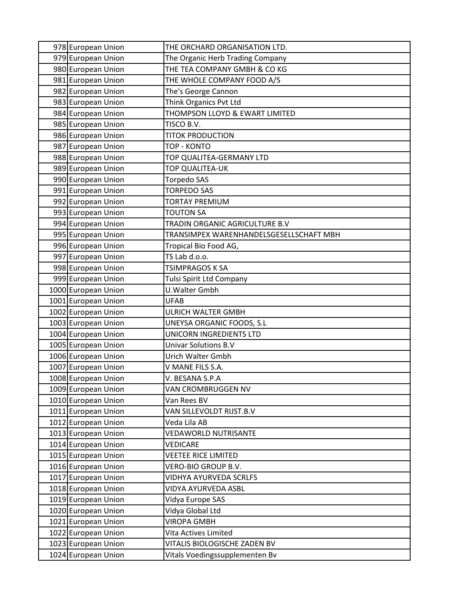| 978 European Union  | THE ORCHARD ORGANISATION LTD.           |
|---------------------|-----------------------------------------|
| 979 European Union  | The Organic Herb Trading Company        |
| 980 European Union  | THE TEA COMPANY GMBH & CO KG            |
| 981 European Union  | THE WHOLE COMPANY FOOD A/S              |
| 982 European Union  | The's George Cannon                     |
| 983 European Union  | Think Organics Pvt Ltd                  |
| 984 European Union  | THOMPSON LLOYD & EWART LIMITED          |
| 985 European Union  | TISCO B.V.                              |
| 986 European Union  | <b>TITOK PRODUCTION</b>                 |
| 987 European Union  | <b>TOP - KONTO</b>                      |
| 988 European Union  | TOP QUALITEA-GERMANY LTD                |
| 989 European Union  | TOP QUALITEA-UK                         |
| 990 European Union  | Torpedo SAS                             |
| 991 European Union  | <b>TORPEDO SAS</b>                      |
| 992 European Union  | TORTAY PREMIUM                          |
| 993 European Union  | <b>TOUTON SA</b>                        |
| 994 European Union  | TRADIN ORGANIC AGRICULTURE B.V          |
| 995 European Union  | TRANSIMPEX WARENHANDELSGESELLSCHAFT MBH |
| 996 European Union  | Tropical Bio Food AG,                   |
| 997 European Union  | TS Lab d.o.o.                           |
| 998 European Union  | TSIMPRAGOS K SA                         |
| 999 European Union  | Tulsi Spirit Ltd Company                |
| 1000 European Union | U. Walter Gmbh                          |
| 1001 European Union | <b>UFAB</b>                             |
| 1002 European Union | <b>ULRICH WALTER GMBH</b>               |
| 1003 European Union | UNEYSA ORGANIC FOODS, S.L               |
| 1004 European Union | UNICORN INGREDIENTS LTD                 |
| 1005 European Union | <b>Univar Solutions B.V</b>             |
| 1006 European Union | Urich Walter Gmbh                       |
| 1007 European Union | V MANE FILS S.A.                        |
| 1008 European Union | V. BESANA S.P.A                         |
| 1009 European Union | VAN CROMBRUGGEN NV                      |
| 1010 European Union | Van Rees BV                             |
| 1011 European Union | VAN SILLEVOLDT RIJST.B.V                |
| 1012 European Union | Veda Lila AB                            |
| 1013 European Union | <b>VEDAWORLD NUTRISANTE</b>             |
| 1014 European Union | <b>VEDICARE</b>                         |
| 1015 European Union | <b>VEETEE RICE LIMITED</b>              |
| 1016 European Union | VERO-BIO GROUP B.V.                     |
| 1017 European Union | VIDHYA AYURVEDA SCRLFS                  |
| 1018 European Union | VIDYA AYURVEDA ASBL                     |
| 1019 European Union | Vidya Europe SAS                        |
| 1020 European Union | Vidya Global Ltd                        |
| 1021 European Union | <b>VIROPA GMBH</b>                      |
| 1022 European Union | Vita Actives Limited                    |
| 1023 European Union | VITALIS BIOLOGISCHE ZADEN BV            |
| 1024 European Union | Vitals Voedingssupplementen Bv          |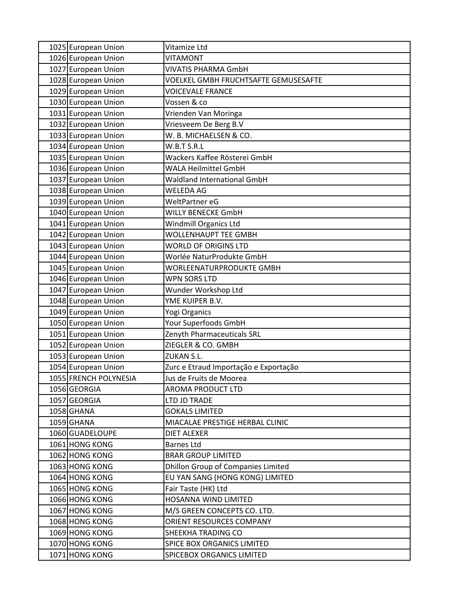| 1025 European Union   | Vitamize Ltd                          |
|-----------------------|---------------------------------------|
| 1026 European Union   | <b>VITAMONT</b>                       |
| 1027 European Union   | <b>VIVATIS PHARMA GmbH</b>            |
| 1028 European Union   | VOELKEL GMBH FRUCHTSAFTE GEMUSESAFTE  |
| 1029 European Union   | <b>VOICEVALE FRANCE</b>               |
| 1030 European Union   | Vossen & co                           |
| 1031 European Union   | Vrienden Van Moringa                  |
| 1032 European Union   | Vriesveem De Berg B.V                 |
| 1033 European Union   | W. B. MICHAELSEN & CO.                |
| 1034 European Union   | W.B.T S.R.L                           |
| 1035 European Union   | Wackers Kaffee Rösterei GmbH          |
| 1036 European Union   | <b>WALA Heilmittel GmbH</b>           |
| 1037 European Union   | Waldland International GmbH           |
| 1038 European Union   | <b>WELEDA AG</b>                      |
| 1039 European Union   | WeltPartner eG                        |
| 1040 European Union   | <b>WILLY BENECKE GmbH</b>             |
| 1041 European Union   | Windmill Organics Ltd                 |
| 1042 European Union   | <b>WOLLENHAUPT TEE GMBH</b>           |
| 1043 European Union   | <b>WORLD OF ORIGINS LTD</b>           |
| 1044 European Union   | Worlée NaturProdukte GmbH             |
| 1045 European Union   | WORLEENATURPRODUKTE GMBH              |
| 1046 European Union   | WPN SORS LTD                          |
| 1047 European Union   | Wunder Workshop Ltd                   |
| 1048 European Union   | YME KUIPER B.V.                       |
| 1049 European Union   | Yogi Organics                         |
| 1050 European Union   | Your Superfoods GmbH                  |
| 1051 European Union   | Zenyth Pharmaceuticals SRL            |
| 1052 European Union   | ZIEGLER & CO. GMBH                    |
| 1053 European Union   | <b>ZUKAN S.L.</b>                     |
| 1054 European Union   | Zurc e Etraud Importação e Exportação |
| 1055 FRENCH POLYNESIA | Jus de Fruits de Moorea               |
| 1056 GEORGIA          | <b>AROMA PRODUCT LTD</b>              |
| 1057 GEORGIA          | LTD JD TRADE                          |
| 1058 GHANA            | <b>GOKALS LIMITED</b>                 |
| 1059 GHANA            | MIACALAE PRESTIGE HERBAL CLINIC       |
| 1060 GUADELOUPE       | <b>DIET ALEXER</b>                    |
| 1061 HONG KONG        | <b>Barnes Ltd</b>                     |
| 1062 HONG KONG        | <b>BRAR GROUP LIMITED</b>             |
| 1063 HONG KONG        | Dhillon Group of Companies Limited    |
| 1064 HONG KONG        | EU YAN SANG (HONG KONG) LIMITED       |
| 1065 HONG KONG        | Fair Taste (HK) Ltd                   |
| 1066 HONG KONG        | HOSANNA WIND LIMITED                  |
| 1067 HONG KONG        | M/S GREEN CONCEPTS CO. LTD.           |
| 1068 HONG KONG        | ORIENT RESOURCES COMPANY              |
| 1069 HONG KONG        | SHEEKHA TRADING CO                    |
| 1070 HONG KONG        | SPICE BOX ORGANICS LIMITED            |
| 1071 HONG KONG        | <b>SPICEBOX ORGANICS LIMITED</b>      |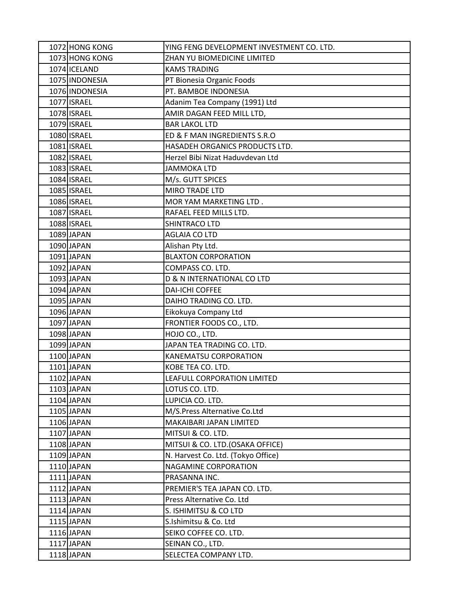| 1072 HONG KONG | YING FENG DEVELOPMENT INVESTMENT CO. LTD. |
|----------------|-------------------------------------------|
| 1073 HONG KONG | ZHAN YU BIOMEDICINE LIMITED               |
| 1074 ICELAND   | <b>KAMS TRADING</b>                       |
| 1075 INDONESIA | PT Bionesia Organic Foods                 |
| 1076 INDONESIA | PT. BAMBOE INDONESIA                      |
| 1077 ISRAEL    | Adanim Tea Company (1991) Ltd             |
| 1078 ISRAEL    | AMIR DAGAN FEED MILL LTD,                 |
| 1079 ISRAEL    | <b>BAR LAKOL LTD</b>                      |
| 1080 ISRAEL    | ED & F MAN INGREDIENTS S.R.O              |
| 1081 ISRAEL    | HASADEH ORGANICS PRODUCTS LTD.            |
| 1082 ISRAEL    | Herzel Bibi Nizat Haduvdevan Ltd          |
| 1083 ISRAEL    | <b>JAMMOKA LTD</b>                        |
| 1084 ISRAEL    | M/s. GUTT SPICES                          |
| 1085 ISRAEL    | <b>MIRO TRADE LTD</b>                     |
| 1086 ISRAEL    | MOR YAM MARKETING LTD.                    |
| 1087 ISRAEL    | RAFAEL FEED MILLS LTD.                    |
| 1088 ISRAEL    | SHINTRACO LTD                             |
| 1089 JAPAN     | <b>AGLAIA CO LTD</b>                      |
| 1090 JAPAN     | Alishan Pty Ltd.                          |
| 1091 JAPAN     | <b>BLAXTON CORPORATION</b>                |
| 1092 JAPAN     | COMPASS CO. LTD.                          |
| 1093 JAPAN     | D & N INTERNATIONAL CO LTD                |
| 1094 JAPAN     | <b>DAI-ICHI COFFEE</b>                    |
| 1095 JAPAN     | DAIHO TRADING CO. LTD.                    |
| 1096 JAPAN     | Eikokuya Company Ltd                      |
| 1097 JAPAN     | FRONTIER FOODS CO., LTD.                  |
| 1098 JAPAN     | HOJO CO., LTD.                            |
| 1099 JAPAN     | JAPAN TEA TRADING CO. LTD.                |
| 1100 JAPAN     | KANEMATSU CORPORATION                     |
| 1101 JAPAN     | KOBE TEA CO. LTD.                         |
| 1102 JAPAN     | LEAFULL CORPORATION LIMITED               |
| 1103 JAPAN     | LOTUS CO. LTD.                            |
| 1104 JAPAN     | LUPICIA CO. LTD.                          |
| 1105 JAPAN     | M/S.Press Alternative Co.Ltd              |
| 1106 JAPAN     | MAKAIBARI JAPAN LIMITED                   |
| 1107 JAPAN     | MITSUI & CO. LTD.                         |
| 1108 JAPAN     | MITSUI & CO. LTD.(OSAKA OFFICE)           |
| 1109 JAPAN     | N. Harvest Co. Ltd. (Tokyo Office)        |
| 1110 JAPAN     | <b>NAGAMINE CORPORATION</b>               |
| $1111$ JAPAN   | PRASANNA INC.                             |
| 1112JAPAN      | PREMIER'S TEA JAPAN CO. LTD.              |
| 1113 JAPAN     | Press Alternative Co. Ltd                 |
| 1114 JAPAN     | S. ISHIMITSU & CO LTD                     |
| $1115$ JAPAN   | S.Ishimitsu & Co. Ltd                     |
| 1116 JAPAN     | SEIKO COFFEE CO. LTD.                     |
| 1117 JAPAN     | SEINAN CO., LTD.                          |
| 1118 JAPAN     | SELECTEA COMPANY LTD.                     |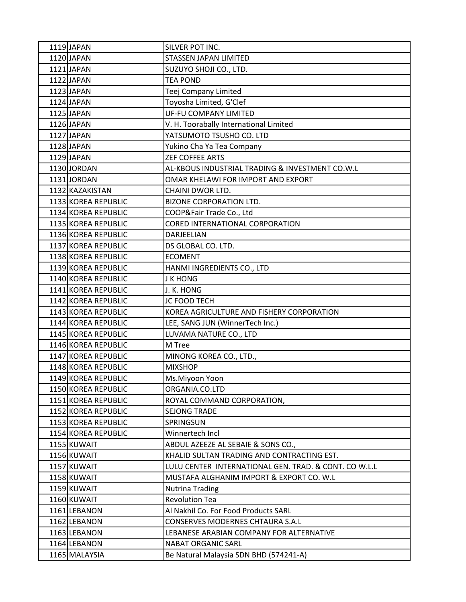| 1119 JAPAN          | SILVER POT INC.                                       |
|---------------------|-------------------------------------------------------|
| 1120 JAPAN          | <b>STASSEN JAPAN LIMITED</b>                          |
| 1121 JAPAN          | SUZUYO SHOJI CO., LTD.                                |
| 1122 JAPAN          | <b>TEA POND</b>                                       |
| 1123 JAPAN          | Teej Company Limited                                  |
| 1124 JAPAN          | Toyosha Limited, G'Clef                               |
| 1125 JAPAN          | <b>UF-FU COMPANY LIMITED</b>                          |
| 1126 JAPAN          | V. H. Toorabally International Limited                |
| 1127 JAPAN          | YATSUMOTO TSUSHO CO. LTD                              |
| 1128 JAPAN          | Yukino Cha Ya Tea Company                             |
| 1129 JAPAN          | <b>ZEF COFFEE ARTS</b>                                |
| 1130 JORDAN         | AL-KBOUS INDUSTRIAL TRADING & INVESTMENT CO.W.L       |
| 1131 JORDAN         | OMAR KHELAWI FOR IMPORT AND EXPORT                    |
| 1132 KAZAKISTAN     | CHAINI DWOR LTD.                                      |
| 1133 KOREA REPUBLIC | <b>BIZONE CORPORATION LTD.</b>                        |
| 1134 KOREA REPUBLIC | COOP&Fair Trade Co., Ltd                              |
| 1135 KOREA REPUBLIC | CORED INTERNATIONAL CORPORATION                       |
| 1136 KOREA REPUBLIC | DARJEELIAN                                            |
| 1137 KOREA REPUBLIC | DS GLOBAL CO. LTD.                                    |
| 1138 KOREA REPUBLIC | <b>ECOMENT</b>                                        |
| 1139 KOREA REPUBLIC | HANMI INGREDIENTS CO., LTD                            |
| 1140 KOREA REPUBLIC | <b>J K HONG</b>                                       |
| 1141 KOREA REPUBLIC | J. K. HONG                                            |
| 1142 KOREA REPUBLIC | <b>JC FOOD TECH</b>                                   |
| 1143 KOREA REPUBLIC | KOREA AGRICULTURE AND FISHERY CORPORATION             |
| 1144 KOREA REPUBLIC | LEE, SANG JUN (WinnerTech Inc.)                       |
| 1145 KOREA REPUBLIC | LUVAMA NATURE CO., LTD                                |
| 1146 KOREA REPUBLIC | M Tree                                                |
| 1147 KOREA REPUBLIC | MINONG KOREA CO., LTD.,                               |
| 1148 KOREA REPUBLIC | <b>MIXSHOP</b>                                        |
| 1149 KOREA REPUBLIC | Ms.Miyoon Yoon                                        |
| 1150 KOREA REPUBLIC | ORGANIA.CO.LTD                                        |
| 1151 KOREA REPUBLIC | ROYAL COMMAND CORPORATION,                            |
| 1152 KOREA REPUBLIC | <b>SEJONG TRADE</b>                                   |
| 1153 KOREA REPUBLIC | SPRINGSUN                                             |
| 1154 KOREA REPUBLIC | Winnertech Incl                                       |
| 1155 KUWAIT         | ABDUL AZEEZE AL SEBAIE & SONS CO.,                    |
| 1156 KUWAIT         | KHALID SULTAN TRADING AND CONTRACTING EST.            |
| 1157 KUWAIT         | LULU CENTER INTERNATIONAL GEN. TRAD. & CONT. CO W.L.L |
| 1158 KUWAIT         | MUSTAFA ALGHANIM IMPORT & EXPORT CO. W.L              |
| 1159 KUWAIT         | <b>Nutrina Trading</b>                                |
| 1160 KUWAIT         | <b>Revolution Tea</b>                                 |
| 1161 LEBANON        | Al Nakhil Co. For Food Products SARL                  |
| 1162 LEBANON        | CONSERVES MODERNES CHTAURA S.A.L                      |
| 1163 LEBANON        | LEBANESE ARABIAN COMPANY FOR ALTERNATIVE              |
| 1164 LEBANON        | NABAT ORGANIC SARL                                    |
| 1165 MALAYSIA       | Be Natural Malaysia SDN BHD (574241-A)                |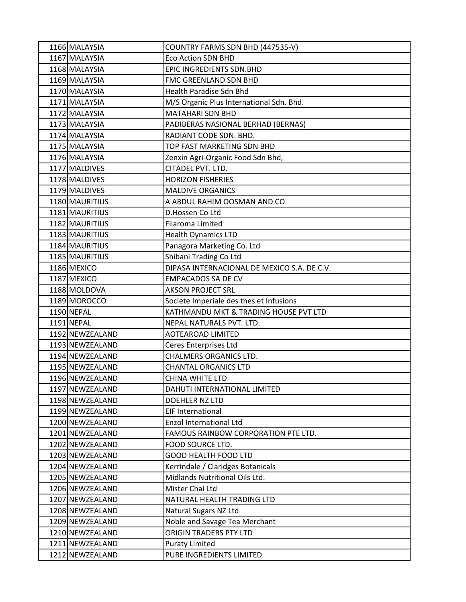| 1166 MALAYSIA   | COUNTRY FARMS SDN BHD (447535-V)            |
|-----------------|---------------------------------------------|
| 1167 MALAYSIA   | <b>Eco Action SDN BHD</b>                   |
| 1168 MALAYSIA   | EPIC INGREDIENTS SDN.BHD                    |
| 1169 MALAYSIA   | FMC GREENLAND SDN BHD                       |
| 1170 MALAYSIA   | Health Paradise Sdn Bhd                     |
| 1171 MALAYSIA   | M/S Organic Plus International Sdn. Bhd.    |
| 1172 MALAYSIA   | <b>MATAHARI SDN BHD</b>                     |
| 1173 MALAYSIA   | PADIBERAS NASIONAL BERHAD (BERNAS)          |
| 1174 MALAYSIA   | RADIANT CODE SDN. BHD.                      |
| 1175 MALAYSIA   | TOP FAST MARKETING SDN BHD                  |
| 1176 MALAYSIA   | Zenxin Agri-Organic Food Sdn Bhd,           |
| 1177 MALDIVES   | CITADEL PVT. LTD.                           |
| 1178 MALDIVES   | <b>HORIZON FISHERIES</b>                    |
| 1179 MALDIVES   | <b>MALDIVE ORGANICS</b>                     |
| 1180 MAURITIUS  | A ABDUL RAHIM OOSMAN AND CO                 |
| 1181 MAURITIUS  | D.Hossen Co Ltd                             |
| 1182 MAURITIUS  | Filaroma Limited                            |
| 1183 MAURITIUS  | <b>Health Dynamics LTD</b>                  |
| 1184 MAURITIUS  | Panagora Marketing Co. Ltd                  |
| 1185 MAURITIUS  | Shibani Trading Co Ltd                      |
| 1186 MEXICO     | DIPASA INTERNACIONAL DE MEXICO S.A. DE C.V. |
| 1187 MEXICO     | <b>EMPACADOS SA DE CV</b>                   |
| 1188 MOLDOVA    | <b>AKSON PROJECT SRL</b>                    |
| 1189 MOROCCO    | Societe Imperiale des thes et Infusions     |
| 1190 NEPAL      | KATHMANDU MKT & TRADING HOUSE PVT LTD       |
| 1191 NEPAL      | NEPAL NATURALS PVT. LTD.                    |
| 1192 NEWZEALAND | <b>AOTEAROAD LIMITED</b>                    |
| 1193 NEWZEALAND | Ceres Enterprises Ltd                       |
| 1194 NEWZEALAND | <b>CHALMERS ORGANICS LTD.</b>               |
| 1195 NEWZEALAND | <b>CHANTAL ORGANICS LTD</b>                 |
| 1196 NEWZEALAND | CHINA WHITE LTD                             |
| 1197 NEWZEALAND | DAHUTI INTERNATIONAL LIMITED                |
| 1198 NEWZEALAND | DOEHLER NZ LTD                              |
| 1199 NEWZEALAND | <b>EIF International</b>                    |
| 1200 NEWZEALAND | <b>Enzol International Ltd</b>              |
| 1201 NEWZEALAND | FAMOUS RAINBOW CORPORATION PTE LTD.         |
| 1202 NEWZEALAND | FOOD SOURCE LTD.                            |
| 1203 NEWZEALAND | <b>GOOD HEALTH FOOD LTD</b>                 |
| 1204 NEWZEALAND | Kerrindale / Claridges Botanicals           |
| 1205 NEWZEALAND | Midlands Nutritional Oils Ltd.              |
| 1206 NEWZEALAND | Mister Chai Ltd                             |
| 1207 NEWZEALAND | NATURAL HEALTH TRADING LTD                  |
| 1208 NEWZEALAND | Natural Sugars NZ Ltd                       |
| 1209 NEWZEALAND | Noble and Savage Tea Merchant               |
| 1210 NEWZEALAND | ORIGIN TRADERS PTY LTD                      |
| 1211 NEWZEALAND | <b>Puraty Limited</b>                       |
| 1212 NEWZEALAND | PURE INGREDIENTS LIMITED                    |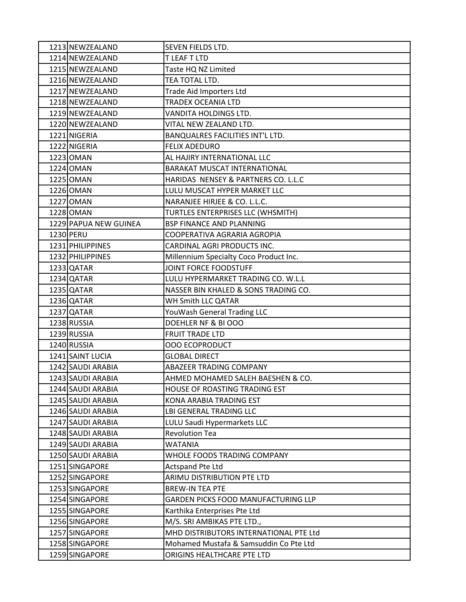| 1213 NEWZEALAND       | SEVEN FIELDS LTD.                      |
|-----------------------|----------------------------------------|
| 1214 NEWZEALAND       | T LEAF T LTD                           |
| 1215 NEWZEALAND       | Taste HQ NZ Limited                    |
| 1216 NEWZEALAND       | TEA TOTAL LTD.                         |
| 1217 NEWZEALAND       | <b>Trade Aid Importers Ltd</b>         |
| 1218 NEWZEALAND       | <b>TRADEX OCEANIA LTD</b>              |
| 1219 NEWZEALAND       | VANDITA HOLDINGS LTD.                  |
| 1220 NEWZEALAND       | VITAL NEW ZEALAND LTD.                 |
| 1221 NIGERIA          | BANQUALRES FACILITIES INT'L LTD.       |
| 1222 NIGERIA          | <b>FELIX ADEDURO</b>                   |
| 1223 OMAN             | AL HAJIRY INTERNATIONAL LLC            |
| 1224 OMAN             | <b>BARAKAT MUSCAT INTERNATIONAL</b>    |
| 1225 OMAN             | HARIDAS NENSEY & PARTNERS CO. L.L.C    |
| 1226 OMAN             | LULU MUSCAT HYPER MARKET LLC           |
| 1227 OMAN             | NARANJEE HIRJEE & CO. L.L.C.           |
| 1228 OMAN             | TURTLES ENTERPRISES LLC (WHSMITH)      |
| 1229 PAPUA NEW GUINEA | BSP FINANCE AND PLANNING               |
| 1230 PERU             | COOPERATIVA AGRARIA AGROPIA            |
| 1231 PHILIPPINES      | CARDINAL AGRI PRODUCTS INC.            |
| 1232 PHILIPPINES      | Millennium Specialty Coco Product Inc. |
| 1233 QATAR            | JOINT FORCE FOODSTUFF                  |
| 1234 QATAR            | LULU HYPERMARKET TRADING CO. W.L.L     |
| 1235 QATAR            | NASSER BIN KHALED & SONS TRADING CO.   |
| 1236 QATAR            | WH Smith LLC QATAR                     |
| 1237 QATAR            | YouWash General Trading LLC            |
| 1238 RUSSIA           | DOEHLER NF & BI OOO                    |
| 1239 RUSSIA           | <b>FRUIT TRADE LTD</b>                 |
| 1240 RUSSIA           | <b>OOO ECOPRODUCT</b>                  |
| 1241 SAINT LUCIA      | <b>GLOBAL DIRECT</b>                   |
| 1242 SAUDI ARABIA     | ABAZEER TRADING COMPANY                |
| 1243 SAUDI ARABIA     | AHMED MOHAMED SALEH BAESHEN & CO.      |
| 1244 SAUDI ARABIA     | HOUSE OF ROASTING TRADING EST          |
| 1245 SAUDI ARABIA     | KONA ARABIA TRADING EST                |
| 1246 SAUDI ARABIA     | LBI GENERAL TRADING LLC                |
| 1247 SAUDI ARABIA     | LULU Saudi Hypermarkets LLC            |
| 1248 SAUDI ARABIA     | <b>Revolution Tea</b>                  |
| 1249 SAUDI ARABIA     | <b>WATANIA</b>                         |
| 1250 SAUDI ARABIA     | WHOLE FOODS TRADING COMPANY            |
| 1251 SINGAPORE        | <b>Actspand Pte Ltd</b>                |
| 1252 SINGAPORE        | ARIMU DISTRIBUTION PTE LTD             |
| 1253 SINGAPORE        | <b>BREW-IN TEA PTE</b>                 |
| 1254 SINGAPORE        | GARDEN PICKS FOOD MANUFACTURING LLP    |
| 1255 SINGAPORE        | Karthika Enterprises Pte Ltd           |
| 1256 SINGAPORE        | M/S. SRI AMBIKAS PTE LTD.,             |
| 1257 SINGAPORE        | MHD DISTRIBUTORS INTERNATIONAL PTE Ltd |
| 1258 SINGAPORE        | Mohamed Mustafa & Samsuddin Co Pte Ltd |
| 1259 SINGAPORE        | ORIGINS HEALTHCARE PTE LTD             |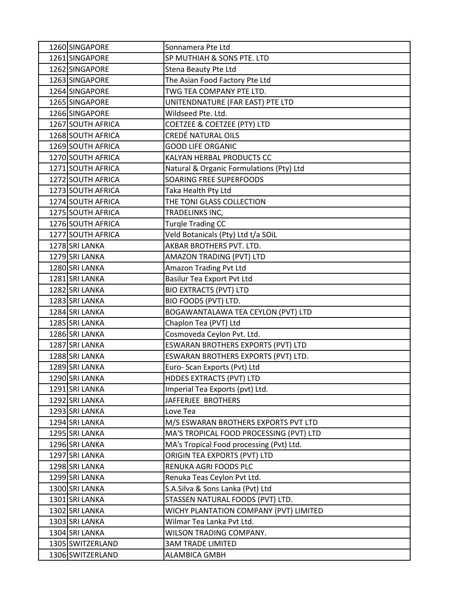| 1260 SINGAPORE    | Sonnamera Pte Ltd                        |
|-------------------|------------------------------------------|
| 1261 SINGAPORE    | SP MUTHIAH & SONS PTE. LTD               |
| 1262 SINGAPORE    | Stena Beauty Pte Ltd                     |
| 1263 SINGAPORE    | The Asian Food Factory Pte Ltd           |
| 1264 SINGAPORE    | TWG TEA COMPANY PTE LTD.                 |
| 1265 SINGAPORE    | UNITENDNATURE (FAR EAST) PTE LTD         |
| 1266 SINGAPORE    | Wildseed Pte. Ltd.                       |
| 1267 SOUTH AFRICA | COETZEE & COETZEE (PTY) LTD              |
| 1268 SOUTH AFRICA | CREDÉ NATURAL OILS                       |
| 1269 SOUTH AFRICA | <b>GOOD LIFE ORGANIC</b>                 |
| 1270 SOUTH AFRICA | KALYAN HERBAL PRODUCTS CC                |
| 1271 SOUTH AFRICA | Natural & Organic Formulations (Pty) Ltd |
| 1272 SOUTH AFRICA | SOARING FREE SUPERFOODS                  |
| 1273 SOUTH AFRICA | Taka Health Pty Ltd                      |
| 1274 SOUTH AFRICA | THE TONI GLASS COLLECTION                |
| 1275 SOUTH AFRICA | TRADELINKS INC,                          |
| 1276 SOUTH AFRICA | <b>Turgle Trading CC</b>                 |
| 1277 SOUTH AFRICA | Veld Botanicals (Pty) Ltd t/a SOiL       |
| 1278 SRI LANKA    | AKBAR BROTHERS PVT. LTD.                 |
| 1279 SRI LANKA    | AMAZON TRADING (PVT) LTD                 |
| 1280 SRI LANKA    | Amazon Trading Pvt Ltd                   |
| 1281 SRI LANKA    | Basilur Tea Export Pvt Ltd               |
| 1282 SRI LANKA    | <b>BIO EXTRACTS (PVT) LTD</b>            |
| 1283 SRI LANKA    | BIO FOODS (PVT) LTD.                     |
| 1284 SRI LANKA    | BOGAWANTALAWA TEA CEYLON (PVT) LTD       |
| 1285 SRI LANKA    | Chaplon Tea (PVT) Ltd                    |
| 1286 SRI LANKA    | Cosmoveda Ceylon Pvt. Ltd.               |
| 1287 SRI LANKA    | ESWARAN BROTHERS EXPORTS (PVT) LTD       |
| 1288 SRI LANKA    | ESWARAN BROTHERS EXPORTS (PVT) LTD.      |
| 1289 SRI LANKA    | Euro- Scan Exports (Pvt) Ltd             |
| 1290 SRI LANKA    | <b>HDDES EXTRACTS (PVT) LTD</b>          |
| 1291 SRI LANKA    | Imperial Tea Exports (pvt) Ltd.          |
| 1292 SRI LANKA    | JAFFERJEE BROTHERS                       |
| 1293 SRI LANKA    | Love Tea                                 |
| 1294 SRI LANKA    | M/S ESWARAN BROTHERS EXPORTS PVT LTD     |
| 1295 SRI LANKA    | MA'S TROPICAL FOOD PROCESSING (PVT) LTD  |
| 1296 SRI LANKA    | MA's Tropical Food processing (Pvt) Ltd. |
| 1297 SRI LANKA    | ORIGIN TEA EXPORTS (PVT) LTD             |
| 1298 SRI LANKA    | RENUKA AGRI FOODS PLC                    |
| 1299 SRI LANKA    | Renuka Teas Ceylon Pvt Ltd.              |
| 1300 SRI LANKA    | S.A.Silva & Sons Lanka (Pvt) Ltd         |
| 1301 SRI LANKA    | STASSEN NATURAL FOODS (PVT) LTD.         |
| 1302 SRI LANKA    | WICHY PLANTATION COMPANY (PVT) LIMITED   |
| 1303 SRI LANKA    | Wilmar Tea Lanka Pvt Ltd.                |
| 1304 SRI LANKA    | WILSON TRADING COMPANY.                  |
| 1305 SWITZERLAND  | <b>3AM TRADE LIMITED</b>                 |
| 1306 SWITZERLAND  | ALAMBICA GMBH                            |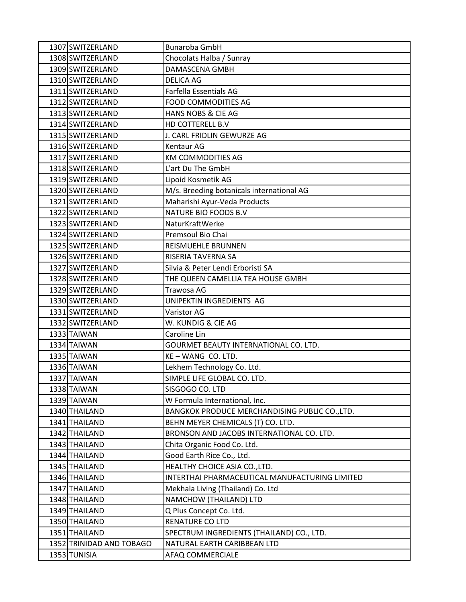| 1307 SWITZERLAND         | <b>Bunaroba GmbH</b>                           |
|--------------------------|------------------------------------------------|
| 1308 SWITZERLAND         | Chocolats Halba / Sunray                       |
| 1309 SWITZERLAND         | <b>DAMASCENA GMBH</b>                          |
| 1310 SWITZERLAND         | <b>DELICA AG</b>                               |
| 1311 SWITZERLAND         | Farfella Essentials AG                         |
| 1312 SWITZERLAND         | <b>FOOD COMMODITIES AG</b>                     |
| 1313 SWITZERLAND         | HANS NOBS & CIE AG                             |
| 1314 SWITZERLAND         | HD COTTERELL B.V                               |
| 1315 SWITZERLAND         | J. CARL FRIDLIN GEWURZE AG                     |
| 1316 SWITZERLAND         | Kentaur AG                                     |
| 1317 SWITZERLAND         | <b>KM COMMODITIES AG</b>                       |
| 1318 SWITZERLAND         | L'art Du The GmbH                              |
| 1319 SWITZERLAND         | Lipoid Kosmetik AG                             |
| 1320 SWITZERLAND         | M/s. Breeding botanicals international AG      |
| 1321 SWITZERLAND         | Maharishi Ayur-Veda Products                   |
| 1322 SWITZERLAND         | <b>NATURE BIO FOODS B.V</b>                    |
| 1323 SWITZERLAND         | NaturKraftWerke                                |
| 1324 SWITZERLAND         | Premsoul Bio Chai                              |
| 1325 SWITZERLAND         | REISMUEHLE BRUNNEN                             |
| 1326 SWITZERLAND         | RISERIA TAVERNA SA                             |
| 1327 SWITZERLAND         | Silvia & Peter Lendi Erboristi SA              |
| 1328 SWITZERLAND         | THE QUEEN CAMELLIA TEA HOUSE GMBH              |
| 1329 SWITZERLAND         | Trawosa AG                                     |
| 1330 SWITZERLAND         | UNIPEKTIN INGREDIENTS AG                       |
| 1331 SWITZERLAND         | Varistor AG                                    |
| 1332 SWITZERLAND         | W. KUNDIG & CIE AG                             |
| 1333 TAIWAN              | Caroline Lin                                   |
| 1334 TAIWAN              | GOURMET BEAUTY INTERNATIONAL CO. LTD.          |
| 1335 TAIWAN              | KE-WANG CO. LTD.                               |
| 1336 TAIWAN              | Lekhem Technology Co. Ltd.                     |
| 1337 TAIWAN              | SIMPLE LIFE GLOBAL CO. LTD.                    |
| 1338 TAIWAN              | SISGOGO CO. LTD                                |
| 1339 TAIWAN              | W Formula International, Inc.                  |
| 1340 THAILAND            | BANGKOK PRODUCE MERCHANDISING PUBLIC CO., LTD. |
| 1341 THAILAND            | BEHN MEYER CHEMICALS (T) CO. LTD.              |
| 1342 THAILAND            | BRONSON AND JACOBS INTERNATIONAL CO. LTD.      |
| 1343 THAILAND            | Chita Organic Food Co. Ltd.                    |
| 1344 THAILAND            | Good Earth Rice Co., Ltd.                      |
| 1345 THAILAND            | HEALTHY CHOICE ASIA CO., LTD.                  |
| 1346 THAILAND            | INTERTHAI PHARMACEUTICAL MANUFACTURING LIMITED |
| 1347 THAILAND            | Mekhala Living (Thailand) Co. Ltd              |
| 1348 THAILAND            | NAMCHOW (THAILAND) LTD                         |
| 1349 THAILAND            | Q Plus Concept Co. Ltd.                        |
| 1350 THAILAND            | RENATURE CO LTD                                |
| 1351 THAILAND            | SPECTRUM INGREDIENTS (THAILAND) CO., LTD.      |
| 1352 TRINIDAD AND TOBAGO | NATURAL EARTH CARIBBEAN LTD                    |
| 1353 TUNISIA             | AFAQ COMMERCIALE                               |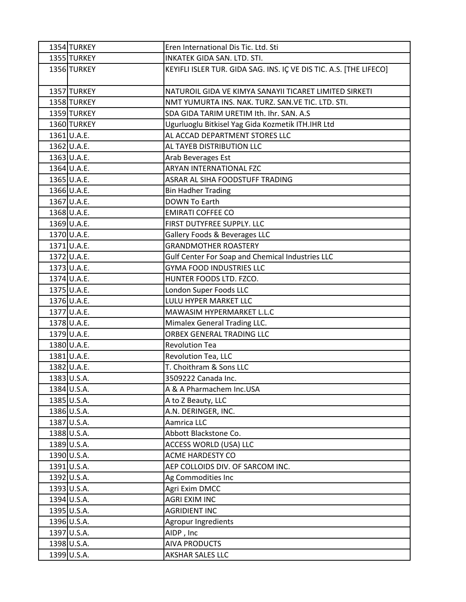| 1354 TURKEY | Eren International Dis Tic. Ltd. Sti                               |
|-------------|--------------------------------------------------------------------|
| 1355 TURKEY | INKATEK GIDA SAN. LTD. STI.                                        |
| 1356 TURKEY | KEYIFLI ISLER TUR. GIDA SAG. INS. IÇ VE DIS TIC. A.S. [THE LIFECO] |
| 1357 TURKEY | NATUROIL GIDA VE KIMYA SANAYII TICARET LIMITED SIRKETI             |
| 1358 TURKEY | NMT YUMURTA INS. NAK. TURZ. SAN. VE TIC. LTD. STI.                 |
| 1359 TURKEY | SDA GIDA TARIM URETIM Ith. Ihr. SAN. A.S                           |
| 1360 TURKEY | Ugurluoglu Bitkisel Yag Gida Kozmetik ITH.IHR Ltd                  |
| 1361 U.A.E. | AL ACCAD DEPARTMENT STORES LLC                                     |
| 1362 U.A.E. | AL TAYEB DISTRIBUTION LLC                                          |
| 1363 U.A.E. | Arab Beverages Est                                                 |
| 1364 U.A.E. | ARYAN INTERNATIONAL FZC                                            |
| 1365 U.A.E. | ASRAR AL SIHA FOODSTUFF TRADING                                    |
| 1366 U.A.E. | <b>Bin Hadher Trading</b>                                          |
| 1367 U.A.E. | <b>DOWN To Earth</b>                                               |
| 1368 U.A.E. | <b>EMIRATI COFFEE CO</b>                                           |
| 1369 U.A.E. | FIRST DUTYFREE SUPPLY. LLC                                         |
| 1370 U.A.E. | Gallery Foods & Beverages LLC                                      |
| 1371 U.A.E. | <b>GRANDMOTHER ROASTERY</b>                                        |
| 1372 U.A.E. | Gulf Center For Soap and Chemical Industries LLC                   |
| 1373 U.A.E. | <b>GYMA FOOD INDUSTRIES LLC</b>                                    |
| 1374 U.A.E. | HUNTER FOODS LTD. FZCO.                                            |
| 1375 U.A.E. | London Super Foods LLC                                             |
| 1376 U.A.E. | LULU HYPER MARKET LLC                                              |
| 1377 U.A.E. | MAWASIM HYPERMARKET L.L.C                                          |
| 1378 U.A.E. | Mimalex General Trading LLC.                                       |
| 1379 U.A.E. | ORBEX GENERAL TRADING LLC                                          |
| 1380 U.A.E. | <b>Revolution Tea</b>                                              |
| 1381 U.A.E. | Revolution Tea, LLC                                                |
| 1382 U.A.E. | T. Choithram & Sons LLC                                            |
| 1383 U.S.A. | 3509222 Canada Inc.                                                |
| 1384 U.S.A. | A & A Pharmachem Inc.USA                                           |
| 1385 U.S.A. | A to Z Beauty, LLC                                                 |
| 1386 U.S.A. | A.N. DERINGER, INC.                                                |
| 1387 U.S.A. | Aamrica LLC                                                        |
| 1388 U.S.A. | Abbott Blackstone Co.                                              |
| 1389 U.S.A. | ACCESS WORLD (USA) LLC                                             |
| 1390 U.S.A. | <b>ACME HARDESTY CO</b>                                            |
| 1391 U.S.A. | AEP COLLOIDS DIV. OF SARCOM INC.                                   |
| 1392 U.S.A. | Ag Commodities Inc                                                 |
| 1393 U.S.A. | Agri Exim DMCC                                                     |
| 1394 U.S.A. | <b>AGRI EXIM INC</b>                                               |
| 1395 U.S.A. | <b>AGRIDIENT INC</b>                                               |
| 1396 U.S.A. | Agropur Ingredients                                                |
| 1397 U.S.A. | AIDP, Inc                                                          |
| 1398 U.S.A. | <b>AIVA PRODUCTS</b>                                               |
| 1399 U.S.A. | AKSHAR SALES LLC                                                   |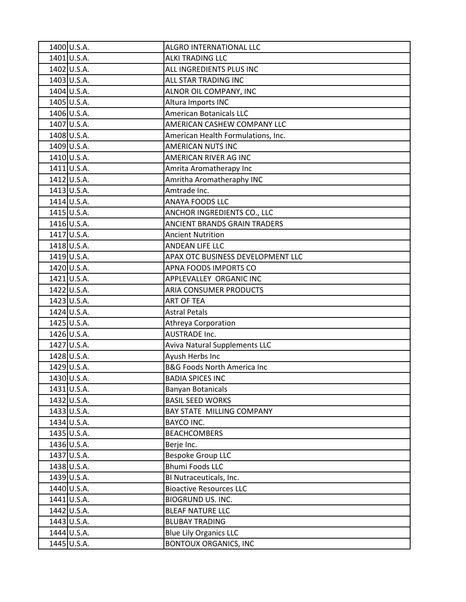| 1400 U.S.A. | ALGRO INTERNATIONAL LLC                |
|-------------|----------------------------------------|
| 1401 U.S.A. | ALKI TRADING LLC                       |
| 1402 U.S.A. | ALL INGREDIENTS PLUS INC               |
| 1403 U.S.A. | ALL STAR TRADING INC                   |
| 1404 U.S.A. | ALNOR OIL COMPANY, INC                 |
| 1405 U.S.A. | Altura Imports INC                     |
| 1406 U.S.A. | <b>American Botanicals LLC</b>         |
| 1407 U.S.A. | AMERICAN CASHEW COMPANY LLC            |
| 1408 U.S.A. | American Health Formulations, Inc.     |
| 1409 U.S.A. | <b>AMERICAN NUTS INC</b>               |
| 1410 U.S.A. | AMERICAN RIVER AG INC                  |
| 1411 U.S.A. | Amrita Aromatherapy Inc                |
| 1412 U.S.A. | Amritha Aromatheraphy INC              |
| 1413 U.S.A. | Amtrade Inc.                           |
| 1414 U.S.A. | <b>ANAYA FOODS LLC</b>                 |
| 1415 U.S.A. | ANCHOR INGREDIENTS CO., LLC            |
| 1416 U.S.A. | <b>ANCIENT BRANDS GRAIN TRADERS</b>    |
| 1417 U.S.A. | <b>Ancient Nutrition</b>               |
| 1418 U.S.A. | ANDEAN LIFE LLC                        |
| 1419 U.S.A. | APAX OTC BUSINESS DEVELOPMENT LLC      |
| 1420 U.S.A. | APNA FOODS IMPORTS CO                  |
| 1421 U.S.A. | APPLEVALLEY ORGANIC INC                |
| 1422 U.S.A. | ARIA CONSUMER PRODUCTS                 |
| 1423 U.S.A. | <b>ART OF TEA</b>                      |
| 1424 U.S.A. | <b>Astral Petals</b>                   |
| 1425 U.S.A. | Athreya Corporation                    |
| 1426 U.S.A. | <b>AUSTRADE Inc.</b>                   |
| 1427 U.S.A. | <b>Aviva Natural Supplements LLC</b>   |
| 1428 U.S.A. | Ayush Herbs Inc                        |
| 1429 U.S.A. | <b>B&amp;G Foods North America Inc</b> |
| 1430 U.S.A. | <b>BADIA SPICES INC</b>                |
| 1431 U.S.A. | <b>Banyan Botanicals</b>               |
| 1432 U.S.A. | <b>BASIL SEED WORKS</b>                |
| 1433 U.S.A. | <b>BAY STATE MILLING COMPANY</b>       |
| 1434 U.S.A. | <b>BAYCO INC.</b>                      |
| 1435 U.S.A. | <b>BEACHCOMBERS</b>                    |
| 1436 U.S.A. | Berje Inc.                             |
| 1437 U.S.A. | <b>Bespoke Group LLC</b>               |
| 1438 U.S.A. | <b>Bhumi Foods LLC</b>                 |
| 1439 U.S.A. | BI Nutraceuticals, Inc.                |
| 1440 U.S.A. | <b>Bioactive Resources LLC</b>         |
| 1441 U.S.A. | <b>BIOGRUND US. INC.</b>               |
| 1442 U.S.A. | <b>BLEAF NATURE LLC</b>                |
| 1443 U.S.A. | <b>BLUBAY TRADING</b>                  |
| 1444 U.S.A. | <b>Blue Lily Organics LLC</b>          |
| 1445 U.S.A. | <b>BONTOUX ORGANICS, INC</b>           |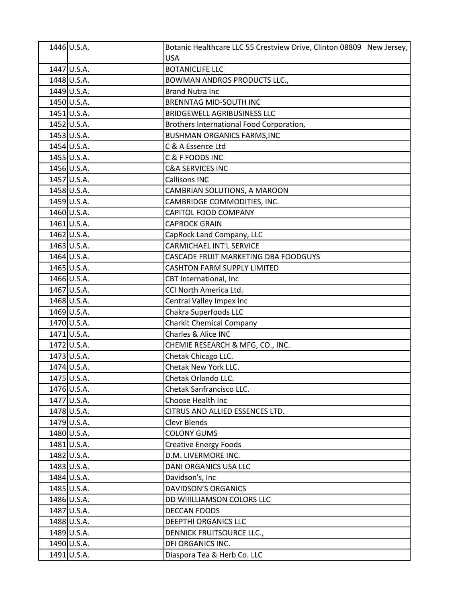| 1446 U.S.A. | Botanic Healthcare LLC 55 Crestview Drive, Clinton 08809 New Jersey, |
|-------------|----------------------------------------------------------------------|
|             | <b>USA</b>                                                           |
| 1447 U.S.A. | <b>BOTANICLIFE LLC</b>                                               |
| 1448 U.S.A. | BOWMAN ANDROS PRODUCTS LLC.,                                         |
| 1449 U.S.A. | <b>Brand Nutra Inc</b>                                               |
| 1450 U.S.A. | <b>BRENNTAG MID-SOUTH INC</b>                                        |
| 1451 U.S.A. | <b>BRIDGEWELL AGRIBUSINESS LLC</b>                                   |
| 1452 U.S.A. | Brothers International Food Corporation,                             |
| 1453 U.S.A. | <b>BUSHMAN ORGANICS FARMS, INC</b>                                   |
| 1454 U.S.A. | C & A Essence Ltd                                                    |
| 1455 U.S.A. | C & F FOODS INC                                                      |
| 1456 U.S.A. | <b>C&amp;A SERVICES INC</b>                                          |
| 1457 U.S.A. | <b>Callisons INC</b>                                                 |
| 1458 U.S.A. | CAMBRIAN SOLUTIONS, A MAROON                                         |
| 1459 U.S.A. | CAMBRIDGE COMMODITIES, INC.                                          |
| 1460 U.S.A. | CAPITOL FOOD COMPANY                                                 |
| 1461 U.S.A. | <b>CAPROCK GRAIN</b>                                                 |
| 1462 U.S.A. | CapRock Land Company, LLC                                            |
| 1463 U.S.A. | <b>CARMICHAEL INT'L SERVICE</b>                                      |
| 1464 U.S.A. | CASCADE FRUIT MARKETING DBA FOODGUYS                                 |
| 1465 U.S.A. | <b>CASHTON FARM SUPPLY LIMITED</b>                                   |
| 1466 U.S.A. | CBT International, Inc                                               |
| 1467 U.S.A. | CCI North America Ltd.                                               |
| 1468 U.S.A. | Central Valley Impex Inc                                             |
| 1469 U.S.A. | Chakra Superfoods LLC                                                |
| 1470 U.S.A. | <b>Charkit Chemical Company</b>                                      |
| 1471 U.S.A. | Charles & Alice INC                                                  |
| 1472 U.S.A. | CHEMIE RESEARCH & MFG, CO., INC.                                     |
| 1473 U.S.A. | Chetak Chicago LLC.                                                  |
| 1474 U.S.A. | Chetak New York LLC.                                                 |
| 1475 U.S.A. | Chetak Orlando LLC.                                                  |
| 1476 U.S.A. | Chetak Sanfrancisco LLC.                                             |
| 1477 U.S.A. | Choose Health Inc                                                    |
| 1478 U.S.A. | CITRUS AND ALLIED ESSENCES LTD.                                      |
| 1479 U.S.A. | Clevr Blends                                                         |
| 1480 U.S.A. | <b>COLONY GUMS</b>                                                   |
| 1481 U.S.A. | <b>Creative Energy Foods</b>                                         |
| 1482 U.S.A. | D.M. LIVERMORE INC.                                                  |
| 1483 U.S.A. | DANI ORGANICS USA LLC                                                |
| 1484 U.S.A. | Davidson's, Inc                                                      |
| 1485 U.S.A. | <b>DAVIDSON'S ORGANICS</b>                                           |
| 1486 U.S.A. | DD WIIILLIAMSON COLORS LLC                                           |
| 1487 U.S.A. | <b>DECCAN FOODS</b>                                                  |
| 1488 U.S.A. | DEEPTHI ORGANICS LLC                                                 |
| 1489 U.S.A. | DENNICK FRUITSOURCE LLC.,                                            |
| 1490 U.S.A. | DFI ORGANICS INC.                                                    |
| 1491 U.S.A. | Diaspora Tea & Herb Co. LLC                                          |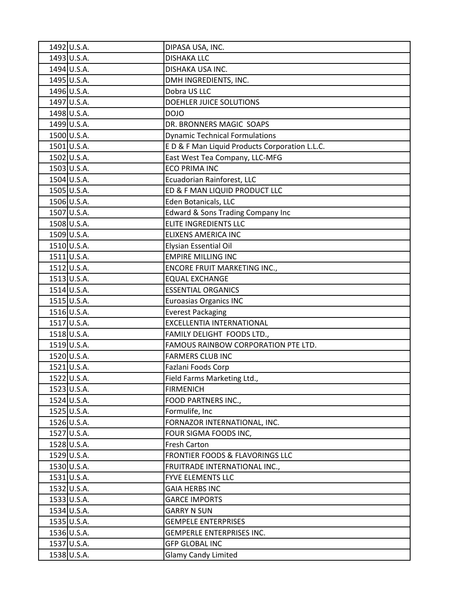| 1492 U.S.A.   | DIPASA USA, INC.                              |
|---------------|-----------------------------------------------|
| 1493 U.S.A.   | <b>DISHAKA LLC</b>                            |
| 1494 U.S.A.   | DISHAKA USA INC.                              |
| 1495 U.S.A.   | DMH INGREDIENTS, INC.                         |
| 1496 U.S.A.   | Dobra US LLC                                  |
| 1497 U.S.A.   | DOEHLER JUICE SOLUTIONS                       |
| 1498 U.S.A.   | <b>DOJO</b>                                   |
| 1499 U.S.A.   | DR. BRONNERS MAGIC SOAPS                      |
| 1500 U.S.A.   | <b>Dynamic Technical Formulations</b>         |
| 1501 U.S.A.   | ED & F Man Liquid Products Corporation L.L.C. |
| 1502 U.S.A.   | East West Tea Company, LLC-MFG                |
| 1503 U.S.A.   | <b>ECO PRIMA INC</b>                          |
| 1504 U.S.A.   | Ecuadorian Rainforest, LLC                    |
| 1505 U.S.A.   | ED & F MAN LIQUID PRODUCT LLC                 |
| 1506 U.S.A.   | Eden Botanicals, LLC                          |
| 1507 U.S.A.   | Edward & Sons Trading Company Inc             |
| 1508 U.S.A.   | ELITE INGREDIENTS LLC                         |
| 1509 U.S.A.   | <b>ELIXENS AMERICA INC</b>                    |
| 1510 U.S.A.   | <b>Elysian Essential Oil</b>                  |
| 1511 U.S.A.   | <b>EMPIRE MILLING INC</b>                     |
| 1512 U.S.A.   | <b>ENCORE FRUIT MARKETING INC.,</b>           |
| 1513 U.S.A.   | <b>EQUAL EXCHANGE</b>                         |
| 1514 U.S.A.   | <b>ESSENTIAL ORGANICS</b>                     |
| $1515$ U.S.A. | <b>Euroasias Organics INC</b>                 |
| 1516 U.S.A.   | <b>Everest Packaging</b>                      |
| 1517 U.S.A.   | EXCELLENTIA INTERNATIONAL                     |
| 1518 U.S.A.   | FAMILY DELIGHT FOODS LTD.,                    |
| 1519 U.S.A.   | FAMOUS RAINBOW CORPORATION PTE LTD.           |
| 1520 U.S.A.   | <b>FARMERS CLUB INC</b>                       |
| 1521 U.S.A.   | Fazlani Foods Corp                            |
| 1522 U.S.A.   | Field Farms Marketing Ltd.,                   |
| 1523 U.S.A.   | <b>FIRMENICH</b>                              |
| 1524 U.S.A.   | FOOD PARTNERS INC.,                           |
| 1525 U.S.A.   | Formulife, Inc                                |
| 1526 U.S.A.   | FORNAZOR INTERNATIONAL, INC.                  |
| 1527 U.S.A.   | FOUR SIGMA FOODS INC,                         |
| 1528 U.S.A.   | Fresh Carton                                  |
| 1529 U.S.A.   | FRONTIER FOODS & FLAVORINGS LLC               |
| 1530 U.S.A.   | FRUITRADE INTERNATIONAL INC.,                 |
| 1531 U.S.A.   | <b>FYVE ELEMENTS LLC</b>                      |
| 1532 U.S.A.   | <b>GAIA HERBS INC</b>                         |
| 1533 U.S.A.   | <b>GARCE IMPORTS</b>                          |
| 1534 U.S.A.   | <b>GARRY N SUN</b>                            |
| 1535 U.S.A.   | <b>GEMPELE ENTERPRISES</b>                    |
| 1536 U.S.A.   | <b>GEMPERLE ENTERPRISES INC.</b>              |
| 1537 U.S.A.   | <b>GFP GLOBAL INC</b>                         |
| 1538 U.S.A.   | <b>Glamy Candy Limited</b>                    |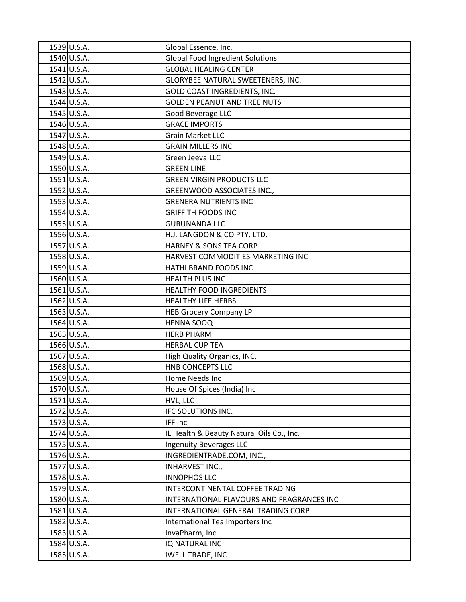| 1539 U.S.A. | Global Essence, Inc.                      |
|-------------|-------------------------------------------|
| 1540 U.S.A. | <b>Global Food Ingredient Solutions</b>   |
| 1541 U.S.A. | <b>GLOBAL HEALING CENTER</b>              |
| 1542 U.S.A. | GLORYBEE NATURAL SWEETENERS, INC.         |
| 1543 U.S.A. | GOLD COAST INGREDIENTS, INC.              |
| 1544 U.S.A. | <b>GOLDEN PEANUT AND TREE NUTS</b>        |
| 1545 U.S.A. | <b>Good Beverage LLC</b>                  |
| 1546 U.S.A. | <b>GRACE IMPORTS</b>                      |
| 1547 U.S.A. | <b>Grain Market LLC</b>                   |
| 1548 U.S.A. | <b>GRAIN MILLERS INC</b>                  |
| 1549 U.S.A. | Green Jeeva LLC                           |
| 1550 U.S.A. | <b>GREEN LINE</b>                         |
| 1551 U.S.A. | <b>GREEN VIRGIN PRODUCTS LLC</b>          |
| 1552 U.S.A. | GREENWOOD ASSOCIATES INC.,                |
| 1553 U.S.A. | <b>GRENERA NUTRIENTS INC</b>              |
| 1554 U.S.A. | <b>GRIFFITH FOODS INC</b>                 |
| 1555 U.S.A. | <b>GURUNANDA LLC</b>                      |
| 1556 U.S.A. | H.J. LANGDON & CO PTY. LTD.               |
| 1557 U.S.A. | HARNEY & SONS TEA CORP                    |
| 1558 U.S.A. | HARVEST COMMODITIES MARKETING INC         |
| 1559 U.S.A. | HATHI BRAND FOODS INC                     |
| 1560 U.S.A. | <b>HEALTH PLUS INC</b>                    |
| 1561 U.S.A. | HEALTHY FOOD INGREDIENTS                  |
| 1562 U.S.A. | <b>HEALTHY LIFE HERBS</b>                 |
| 1563 U.S.A. | <b>HEB Grocery Company LP</b>             |
| 1564 U.S.A. | <b>HENNA SOOQ</b>                         |
| 1565 U.S.A. | <b>HERB PHARM</b>                         |
| 1566 U.S.A. | <b>HERBAL CUP TEA</b>                     |
| 1567 U.S.A. | High Quality Organics, INC.               |
| 1568 U.S.A. | HNB CONCEPTS LLC                          |
| 1569 U.S.A. | Home Needs Inc                            |
| 1570 U.S.A. | House Of Spices (India) Inc               |
| 1571 U.S.A. | HVL, LLC                                  |
| 1572 U.S.A. | IFC SOLUTIONS INC.                        |
| 1573 U.S.A. | IFF Inc                                   |
| 1574 U.S.A. | IL Health & Beauty Natural Oils Co., Inc. |
| 1575 U.S.A. | <b>Ingenuity Beverages LLC</b>            |
| 1576 U.S.A. | INGREDIENTRADE.COM, INC.,                 |
| 1577 U.S.A. | INHARVEST INC.,                           |
| 1578 U.S.A. | <b>INNOPHOS LLC</b>                       |
| 1579 U.S.A. | INTERCONTINENTAL COFFEE TRADING           |
| 1580 U.S.A. | INTERNATIONAL FLAVOURS AND FRAGRANCES INC |
| 1581 U.S.A. | INTERNATIONAL GENERAL TRADING CORP        |
| 1582 U.S.A. | International Tea Importers Inc           |
| 1583 U.S.A. | InvaPharm, Inc                            |
| 1584 U.S.A. | IQ NATURAL INC                            |
| 1585 U.S.A. | <b>IWELL TRADE, INC</b>                   |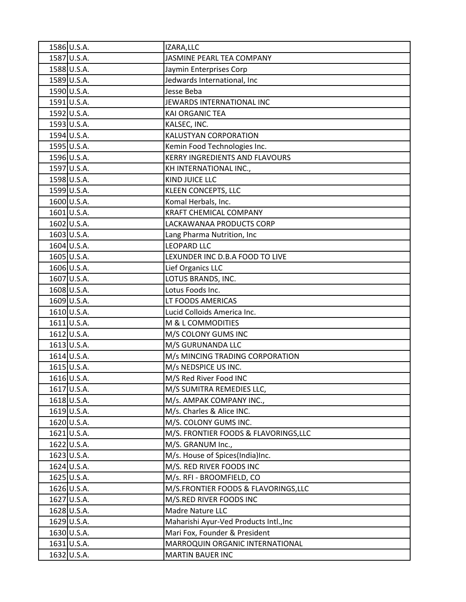| 1586 U.S.A.   | IZARA, LLC                             |
|---------------|----------------------------------------|
| 1587 U.S.A.   | JASMINE PEARL TEA COMPANY              |
| 1588 U.S.A.   | Jaymin Enterprises Corp                |
| 1589 U.S.A.   | Jedwards International, Inc            |
| 1590 U.S.A.   | Jesse Beba                             |
| 1591 U.S.A.   | JEWARDS INTERNATIONAL INC              |
| 1592 U.S.A.   | <b>KAI ORGANIC TEA</b>                 |
| 1593 U.S.A.   | KALSEC, INC.                           |
| 1594 U.S.A.   | KALUSTYAN CORPORATION                  |
| 1595 U.S.A.   | Kemin Food Technologies Inc.           |
| 1596 U.S.A.   | <b>KERRY INGREDIENTS AND FLAVOURS</b>  |
| 1597 U.S.A.   | KH INTERNATIONAL INC.,                 |
| 1598 U.S.A.   | KIND JUICE LLC                         |
| 1599 U.S.A.   | <b>KLEEN CONCEPTS, LLC</b>             |
| 1600 U.S.A.   | Komal Herbals, Inc.                    |
| 1601 U.S.A.   | <b>KRAFT CHEMICAL COMPANY</b>          |
| 1602 U.S.A.   | LACKAWANAA PRODUCTS CORP               |
| 1603 U.S.A.   | Lang Pharma Nutrition, Inc             |
| 1604 U.S.A.   | <b>LEOPARD LLC</b>                     |
| 1605 U.S.A.   | LEXUNDER INC D.B.A FOOD TO LIVE        |
| 1606 U.S.A.   | Lief Organics LLC                      |
| 1607 U.S.A.   | LOTUS BRANDS, INC.                     |
| 1608 U.S.A.   | Lotus Foods Inc.                       |
| 1609 U.S.A.   | LT FOODS AMERICAS                      |
| 1610 U.S.A.   | Lucid Colloids America Inc.            |
| $1611$ U.S.A. | M & L COMMODITIES                      |
| 1612 U.S.A.   | M/S COLONY GUMS INC                    |
| $1613$ U.S.A. | M/S GURUNANDA LLC                      |
| 1614 U.S.A.   | M/s MINCING TRADING CORPORATION        |
| 1615 U.S.A.   | M/s NEDSPICE US INC.                   |
| 1616 U.S.A.   | M/S Red River Food INC                 |
| 1617 U.S.A.   | M/S SUMITRA REMEDIES LLC,              |
| 1618 U.S.A.   | M/s. AMPAK COMPANY INC.,               |
| 1619 U.S.A.   | M/s. Charles & Alice INC.              |
| 1620 U.S.A.   | M/S. COLONY GUMS INC.                  |
| 1621 U.S.A.   | M/S. FRONTIER FOODS & FLAVORINGS, LLC  |
| 1622 U.S.A.   | M/S. GRANUM Inc.,                      |
| 1623 U.S.A.   | M/s. House of Spices(India)Inc.        |
| 1624 U.S.A.   | M/S. RED RIVER FOODS INC               |
| 1625 U.S.A.   | M/s. RFI - BROOMFIELD, CO              |
| 1626 U.S.A.   | M/S.FRONTIER FOODS & FLAVORINGS, LLC   |
| 1627 U.S.A.   | M/S.RED RIVER FOODS INC                |
| 1628 U.S.A.   | Madre Nature LLC                       |
| 1629 U.S.A.   | Maharishi Ayur-Ved Products Intl., Inc |
| 1630 U.S.A.   | Mari Fox, Founder & President          |
| 1631 U.S.A.   | MARROQUIN ORGANIC INTERNATIONAL        |
| 1632 U.S.A.   | <b>MARTIN BAUER INC</b>                |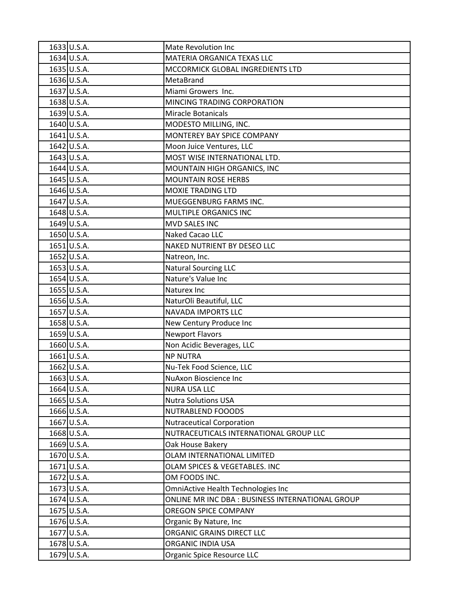| 1633 U.S.A.   | <b>Mate Revolution Inc</b>                      |
|---------------|-------------------------------------------------|
| 1634 U.S.A.   | MATERIA ORGANICA TEXAS LLC                      |
| 1635 U.S.A.   | MCCORMICK GLOBAL INGREDIENTS LTD                |
| 1636 U.S.A.   | MetaBrand                                       |
| 1637 U.S.A.   | Miami Growers Inc.                              |
| 1638 U.S.A.   | MINCING TRADING CORPORATION                     |
| 1639 U.S.A.   | <b>Miracle Botanicals</b>                       |
| 1640 U.S.A.   | MODESTO MILLING, INC.                           |
| 1641 U.S.A.   | MONTEREY BAY SPICE COMPANY                      |
| 1642 U.S.A.   | Moon Juice Ventures, LLC                        |
| 1643 U.S.A.   | MOST WISE INTERNATIONAL LTD.                    |
| 1644 U.S.A.   | MOUNTAIN HIGH ORGANICS, INC                     |
| 1645 U.S.A.   | <b>MOUNTAIN ROSE HERBS</b>                      |
| 1646 U.S.A.   | <b>MOXIE TRADING LTD</b>                        |
| 1647 U.S.A.   | MUEGGENBURG FARMS INC.                          |
| 1648 U.S.A.   | MULTIPLE ORGANICS INC                           |
| 1649 U.S.A.   | <b>MVD SALES INC</b>                            |
| 1650 U.S.A.   | Naked Cacao LLC                                 |
| $1651$ U.S.A. | NAKED NUTRIENT BY DESEO LLC                     |
| 1652 U.S.A.   | Natreon, Inc.                                   |
| 1653 U.S.A.   | <b>Natural Sourcing LLC</b>                     |
| 1654 U.S.A.   | Nature's Value Inc                              |
| 1655 U.S.A.   | Naturex Inc                                     |
| 1656 U.S.A.   | NaturOli Beautiful, LLC                         |
| 1657 U.S.A.   | <b>NAVADA IMPORTS LLC</b>                       |
| 1658 U.S.A.   | New Century Produce Inc                         |
| 1659 U.S.A.   | <b>Newport Flavors</b>                          |
| 1660 U.S.A.   | Non Acidic Beverages, LLC                       |
| 1661 U.S.A.   | <b>NP NUTRA</b>                                 |
| 1662 U.S.A.   | Nu-Tek Food Science, LLC                        |
| 1663 U.S.A.   | NuAxon Bioscience Inc                           |
| 1664 U.S.A.   | <b>NURA USA LLC</b>                             |
| 1665 U.S.A.   | <b>Nutra Solutions USA</b>                      |
| 1666 U.S.A.   | NUTRABLEND FOOODS                               |
| 1667 U.S.A.   | <b>Nutraceutical Corporation</b>                |
| 1668 U.S.A.   | NUTRACEUTICALS INTERNATIONAL GROUP LLC          |
| 1669 U.S.A.   | Oak House Bakery                                |
| 1670 U.S.A.   | OLAM INTERNATIONAL LIMITED                      |
| 1671 U.S.A.   | OLAM SPICES & VEGETABLES. INC                   |
| 1672 U.S.A.   | OM FOODS INC.                                   |
| 1673 U.S.A.   | OmniActive Health Technologies Inc              |
| 1674 U.S.A.   | ONLINE MR INC DBA: BUSINESS INTERNATIONAL GROUP |
| 1675 U.S.A.   | <b>OREGON SPICE COMPANY</b>                     |
| 1676 U.S.A.   | Organic By Nature, Inc                          |
| 1677 U.S.A.   | ORGANIC GRAINS DIRECT LLC                       |
| 1678 U.S.A.   | ORGANIC INDIA USA                               |
| 1679 U.S.A.   | Organic Spice Resource LLC                      |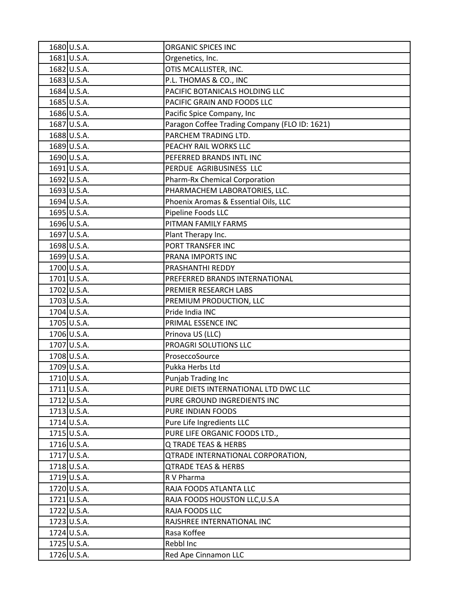| 1680 U.S.A. | ORGANIC SPICES INC                            |
|-------------|-----------------------------------------------|
| 1681 U.S.A. | Orgenetics, Inc.                              |
| 1682 U.S.A. | OTIS MCALLISTER, INC.                         |
| 1683 U.S.A. | P.L. THOMAS & CO., INC                        |
| 1684 U.S.A. | PACIFIC BOTANICALS HOLDING LLC                |
| 1685 U.S.A. | PACIFIC GRAIN AND FOODS LLC                   |
| 1686 U.S.A. | Pacific Spice Company, Inc                    |
| 1687 U.S.A. | Paragon Coffee Trading Company (FLO ID: 1621) |
| 1688 U.S.A. | PARCHEM TRADING LTD.                          |
| 1689 U.S.A. | PEACHY RAIL WORKS LLC                         |
| 1690 U.S.A. | PEFERRED BRANDS INTL INC                      |
| 1691 U.S.A. | PERDUE AGRIBUSINESS LLC                       |
| 1692 U.S.A. | Pharm-Rx Chemical Corporation                 |
| 1693 U.S.A. | PHARMACHEM LABORATORIES, LLC.                 |
| 1694 U.S.A. | Phoenix Aromas & Essential Oils, LLC          |
| 1695 U.S.A. | Pipeline Foods LLC                            |
| 1696 U.S.A. | PITMAN FAMILY FARMS                           |
| 1697 U.S.A. | Plant Therapy Inc.                            |
| 1698 U.S.A. | PORT TRANSFER INC                             |
| 1699 U.S.A. | PRANA IMPORTS INC                             |
| 1700 U.S.A. | PRASHANTHI REDDY                              |
| 1701 U.S.A. | PREFERRED BRANDS INTERNATIONAL                |
| 1702 U.S.A. | PREMIER RESEARCH LABS                         |
| 1703 U.S.A. | PREMIUM PRODUCTION, LLC                       |
| 1704 U.S.A. | Pride India INC                               |
| 1705 U.S.A. | PRIMAL ESSENCE INC                            |
| 1706 U.S.A. | Prinova US (LLC)                              |
| 1707 U.S.A. | PROAGRI SOLUTIONS LLC                         |
| 1708 U.S.A. | ProseccoSource                                |
| 1709 U.S.A. | Pukka Herbs Ltd                               |
| 1710 U.S.A. | Punjab Trading Inc                            |
| 1711 U.S.A. | PURE DIETS INTERNATIONAL LTD DWC LLC          |
| 1712 U.S.A. | PURE GROUND INGREDIENTS INC                   |
| 1713 U.S.A. | PURE INDIAN FOODS                             |
| 1714 U.S.A. | Pure Life Ingredients LLC                     |
| 1715 U.S.A. | PURE LIFE ORGANIC FOODS LTD.,                 |
| 1716 U.S.A. | Q TRADE TEAS & HERBS                          |
| 1717 U.S.A. | <b>QTRADE INTERNATIONAL CORPORATION,</b>      |
| 1718 U.S.A. | <b>QTRADE TEAS &amp; HERBS</b>                |
| 1719 U.S.A. | R V Pharma                                    |
| 1720 U.S.A. | RAJA FOODS ATLANTA LLC                        |
| 1721 U.S.A. | RAJA FOODS HOUSTON LLC, U.S.A                 |
| 1722 U.S.A. | RAJA FOODS LLC                                |
| 1723 U.S.A. | RAJSHREE INTERNATIONAL INC                    |
| 1724 U.S.A. | Rasa Koffee                                   |
| 1725 U.S.A. | Rebbl Inc                                     |
| 1726 U.S.A. | Red Ape Cinnamon LLC                          |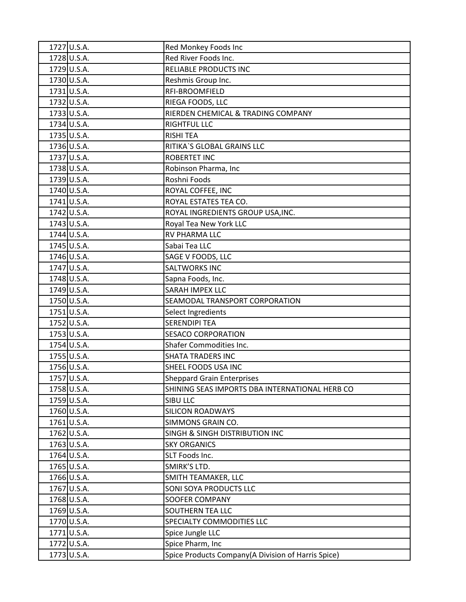| 1727 U.S.A. | Red Monkey Foods Inc                               |
|-------------|----------------------------------------------------|
| 1728 U.S.A. | Red River Foods Inc.                               |
| 1729 U.S.A. | RELIABLE PRODUCTS INC                              |
| 1730 U.S.A. | Reshmis Group Inc.                                 |
| 1731 U.S.A. | RFI-BROOMFIELD                                     |
| 1732 U.S.A. | RIEGA FOODS, LLC                                   |
| 1733 U.S.A. | RIERDEN CHEMICAL & TRADING COMPANY                 |
| 1734 U.S.A. | <b>RIGHTFUL LLC</b>                                |
| 1735 U.S.A. | <b>RISHI TEA</b>                                   |
| 1736 U.S.A. | RITIKA'S GLOBAL GRAINS LLC                         |
| 1737 U.S.A. | <b>ROBERTET INC</b>                                |
| 1738 U.S.A. | Robinson Pharma, Inc                               |
| 1739 U.S.A. | Roshni Foods                                       |
| 1740 U.S.A. | ROYAL COFFEE, INC                                  |
| 1741 U.S.A. | ROYAL ESTATES TEA CO.                              |
| 1742 U.S.A. | ROYAL INGREDIENTS GROUP USA, INC.                  |
| 1743 U.S.A. | Royal Tea New York LLC                             |
| 1744 U.S.A. | <b>RV PHARMA LLC</b>                               |
| 1745 U.S.A. | Sabai Tea LLC                                      |
| 1746 U.S.A. | SAGE V FOODS, LLC                                  |
| 1747 U.S.A. | <b>SALTWORKS INC</b>                               |
| 1748 U.S.A. | Sapna Foods, Inc.                                  |
| 1749 U.S.A. | <b>SARAH IMPEX LLC</b>                             |
| 1750 U.S.A. | SEAMODAL TRANSPORT CORPORATION                     |
| 1751 U.S.A. | Select Ingredients                                 |
| 1752 U.S.A. | <b>SERENDIPI TEA</b>                               |
| 1753 U.S.A. | <b>SESACO CORPORATION</b>                          |
| 1754 U.S.A. | Shafer Commodities Inc.                            |
| 1755 U.S.A. | <b>SHATA TRADERS INC</b>                           |
| 1756 U.S.A. | SHEEL FOODS USA INC                                |
| 1757 U.S.A. | <b>Sheppard Grain Enterprises</b>                  |
| 1758 U.S.A. | SHINING SEAS IMPORTS DBA INTERNATIONAL HERB CO     |
| 1759 U.S.A. | SIBU LLC                                           |
| 1760 U.S.A. | <b>SILICON ROADWAYS</b>                            |
| 1761 U.S.A. | SIMMONS GRAIN CO.                                  |
| 1762 U.S.A. | SINGH & SINGH DISTRIBUTION INC                     |
| 1763 U.S.A. | <b>SKY ORGANICS</b>                                |
| 1764 U.S.A. | SLT Foods Inc.                                     |
| 1765 U.S.A. | SMIRK'S LTD.                                       |
| 1766 U.S.A. | SMITH TEAMAKER, LLC                                |
| 1767 U.S.A. | SONI SOYA PRODUCTS LLC                             |
| 1768 U.S.A. | <b>SOOFER COMPANY</b>                              |
| 1769 U.S.A. | SOUTHERN TEA LLC                                   |
| 1770 U.S.A. | SPECIALTY COMMODITIES LLC                          |
| 1771 U.S.A. | Spice Jungle LLC                                   |
| 1772 U.S.A. | Spice Pharm, Inc                                   |
| 1773 U.S.A. | Spice Products Company(A Division of Harris Spice) |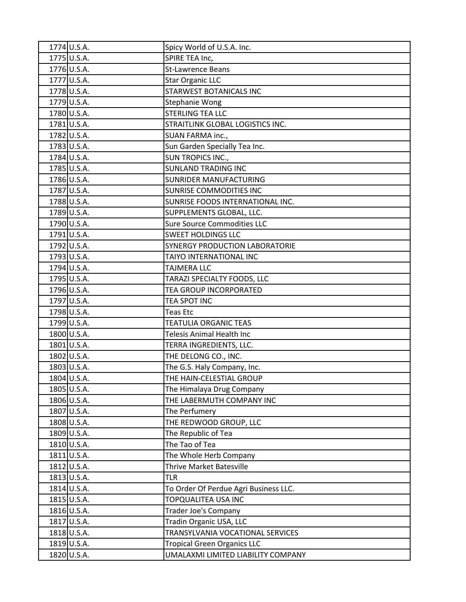| 1774 U.S.A. | Spicy World of U.S.A. Inc.            |
|-------------|---------------------------------------|
| 1775 U.S.A. | SPIRE TEA Inc,                        |
| 1776 U.S.A. | <b>St-Lawrence Beans</b>              |
| 1777 U.S.A. | <b>Star Organic LLC</b>               |
| 1778 U.S.A. | <b>STARWEST BOTANICALS INC</b>        |
| 1779 U.S.A. | <b>Stephanie Wong</b>                 |
| 1780 U.S.A. | <b>STERLING TEA LLC</b>               |
| 1781 U.S.A. | STRAITLINK GLOBAL LOGISTICS INC.      |
| 1782 U.S.A. | SUAN FARMA inc.,                      |
| 1783 U.S.A. | Sun Garden Specially Tea Inc.         |
| 1784 U.S.A. | SUN TROPICS INC.,                     |
| 1785 U.S.A. | <b>SUNLAND TRADING INC</b>            |
| 1786 U.S.A. | SUNRIDER MANUFACTURING                |
| 1787 U.S.A. | <b>SUNRISE COMMODITIES INC</b>        |
| 1788 U.S.A. | SUNRISE FOODS INTERNATIONAL INC.      |
| 1789 U.S.A. | SUPPLEMENTS GLOBAL, LLC.              |
| 1790 U.S.A. | <b>Sure Source Commodities LLC</b>    |
| 1791 U.S.A. | <b>SWEET HOLDINGS LLC</b>             |
| 1792 U.S.A. | SYNERGY PRODUCTION LABORATORIE        |
| 1793 U.S.A. | TAIYO INTERNATIONAL INC               |
| 1794 U.S.A. | <b>TAJMERA LLC</b>                    |
| 1795 U.S.A. | TARAZI SPECIALTY FOODS, LLC           |
| 1796 U.S.A. | TEA GROUP INCORPORATED                |
| 1797 U.S.A. | TEA SPOT INC                          |
| 1798 U.S.A. | <b>Teas Etc</b>                       |
| 1799 U.S.A. | <b>TEATULIA ORGANIC TEAS</b>          |
| 1800 U.S.A. | Telesis Animal Health Inc             |
| 1801 U.S.A. | TERRA INGREDIENTS, LLC.               |
| 1802 U.S.A. | THE DELONG CO., INC.                  |
| 1803 U.S.A. | The G.S. Haly Company, Inc.           |
| 1804 U.S.A. | THE HAIN-CELESTIAL GROUP              |
| 1805 U.S.A. | The Himalaya Drug Company             |
| 1806 U.S.A. | THE LABERMUTH COMPANY INC             |
| 1807 U.S.A. | The Perfumery                         |
| 1808 U.S.A. | THE REDWOOD GROUP, LLC                |
| 1809 U.S.A. | The Republic of Tea                   |
| 1810 U.S.A. | The Tao of Tea                        |
| 1811 U.S.A. | The Whole Herb Company                |
| 1812 U.S.A. | Thrive Market Batesville              |
| 1813 U.S.A. | <b>TLR</b>                            |
| 1814 U.S.A. | To Order Of Perdue Agri Business LLC. |
| 1815 U.S.A. | TOPQUALITEA USA INC                   |
| 1816 U.S.A. | Trader Joe's Company                  |
| 1817 U.S.A. | Tradin Organic USA, LLC               |
| 1818 U.S.A. | TRANSYLVANIA VOCATIONAL SERVICES      |
| 1819 U.S.A. | <b>Tropical Green Organics LLC</b>    |
| 1820 U.S.A. | UMALAXMI LIMITED LIABILITY COMPANY    |